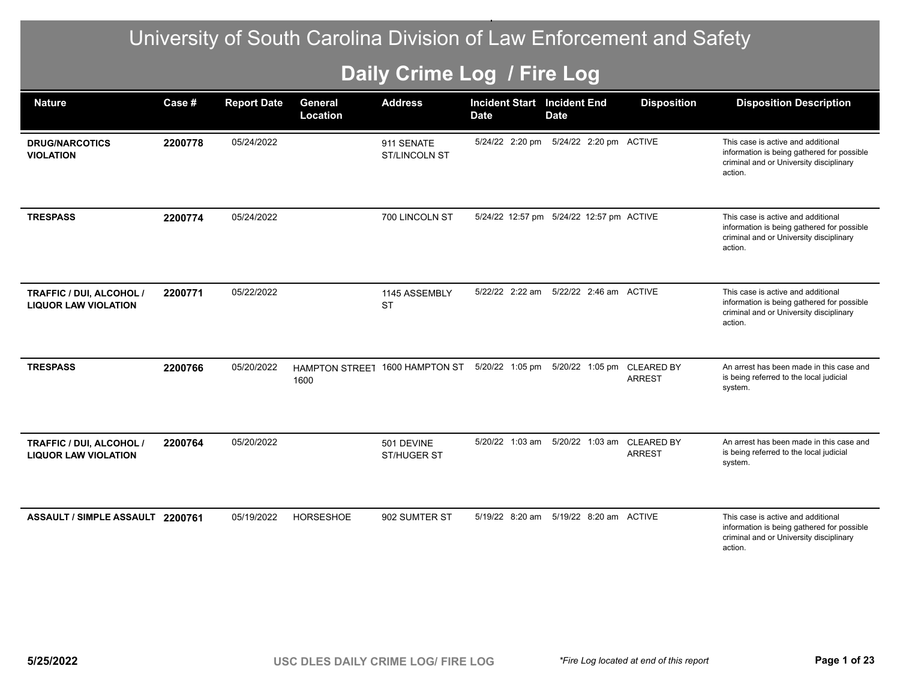## University of South Carolina Division of Law Enforcement and Safety

## **Daily Crime Log / Fire Log**

| <b>Nature</b>                                           | Case #  | <b>Report Date</b> | General<br>Location           | <b>Address</b>                     | <b>Incident Start</b><br><b>Date</b> | <b>Incident End</b><br><b>Date</b>       | <b>Disposition</b> | <b>Disposition Description</b>                                                                                                         |
|---------------------------------------------------------|---------|--------------------|-------------------------------|------------------------------------|--------------------------------------|------------------------------------------|--------------------|----------------------------------------------------------------------------------------------------------------------------------------|
| <b>DRUG/NARCOTICS</b><br><b>VIOLATION</b>               | 2200778 | 05/24/2022         |                               | 911 SENATE<br><b>ST/LINCOLN ST</b> |                                      | 5/24/22 2:20 pm 5/24/22 2:20 pm ACTIVE   |                    | This case is active and additional<br>information is being gathered for possible<br>criminal and or University disciplinary<br>action. |
| <b>TRESPASS</b>                                         | 2200774 | 05/24/2022         |                               | 700 LINCOLN ST                     |                                      | 5/24/22 12:57 pm 5/24/22 12:57 pm ACTIVE |                    | This case is active and additional<br>information is being gathered for possible<br>criminal and or University disciplinary<br>action. |
| TRAFFIC / DUI, ALCOHOL /<br><b>LIQUOR LAW VIOLATION</b> | 2200771 | 05/22/2022         |                               | 1145 ASSEMBLY<br><b>ST</b>         | 5/22/22 2:22 am                      | 5/22/22 2:46 am ACTIVE                   |                    | This case is active and additional<br>information is being gathered for possible<br>criminal and or University disciplinary<br>action. |
| <b>TRESPASS</b>                                         | 2200766 | 05/20/2022         | <b>HAMPTON STREET</b><br>1600 | 1600 HAMPTON ST                    | 5/20/22 1:05 pm                      | 5/20/22 1:05 pm CLEARED BY               | <b>ARREST</b>      | An arrest has been made in this case and<br>is being referred to the local judicial<br>system.                                         |
| TRAFFIC / DUI, ALCOHOL /<br><b>LIQUOR LAW VIOLATION</b> | 2200764 | 05/20/2022         |                               | 501 DEVINE<br>ST/HUGER ST          | 5/20/22 1:03 am                      | 5/20/22 1:03 am CLEARED BY               | <b>ARREST</b>      | An arrest has been made in this case and<br>is being referred to the local judicial<br>system.                                         |
| ASSAULT / SIMPLE ASSAULT 2200761                        |         | 05/19/2022         | <b>HORSESHOE</b>              | 902 SUMTER ST                      |                                      | 5/19/22 8:20 am 5/19/22 8:20 am ACTIVE   |                    | This case is active and additional<br>information is being gathered for possible<br>criminal and or University disciplinary<br>action. |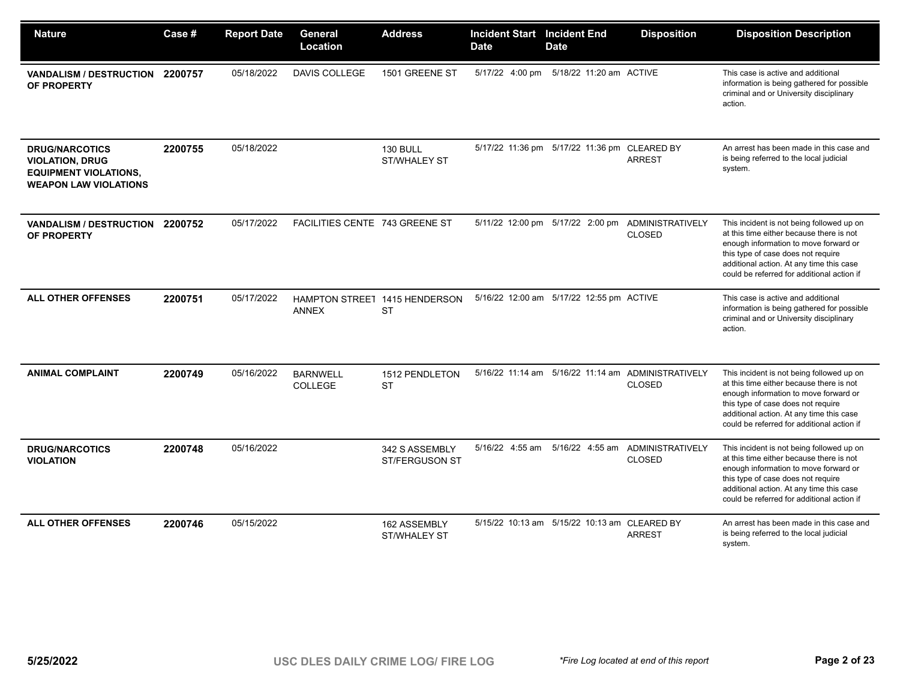| <b>Nature</b>                                                                                                   | Case #  | <b>Report Date</b> | General<br>Location                           | <b>Address</b>                          | <b>Incident Start Incident End</b><br><b>Date</b> | <b>Date</b>                                  | <b>Disposition</b>                                                  | <b>Disposition Description</b>                                                                                                                                                                                                                                 |
|-----------------------------------------------------------------------------------------------------------------|---------|--------------------|-----------------------------------------------|-----------------------------------------|---------------------------------------------------|----------------------------------------------|---------------------------------------------------------------------|----------------------------------------------------------------------------------------------------------------------------------------------------------------------------------------------------------------------------------------------------------------|
| VANDALISM / DESTRUCTION 2200757<br>OF PROPERTY                                                                  |         | 05/18/2022         | DAVIS COLLEGE                                 | 1501 GREENE ST                          |                                                   | 5/17/22 4:00 pm 5/18/22 11:20 am ACTIVE      |                                                                     | This case is active and additional<br>information is being gathered for possible<br>criminal and or University disciplinary<br>action.                                                                                                                         |
| <b>DRUG/NARCOTICS</b><br><b>VIOLATION, DRUG</b><br><b>EQUIPMENT VIOLATIONS,</b><br><b>WEAPON LAW VIOLATIONS</b> | 2200755 | 05/18/2022         |                                               | <b>130 BULL</b><br>ST/WHALEY ST         |                                                   | 5/17/22 11:36 pm 5/17/22 11:36 pm CLEARED BY | <b>ARREST</b>                                                       | An arrest has been made in this case and<br>is being referred to the local judicial<br>system.                                                                                                                                                                 |
| <b>VANDALISM / DESTRUCTION</b><br>OF PROPERTY                                                                   | 2200752 | 05/17/2022         | FACILITIES CENTE 743 GREENE ST                |                                         |                                                   | 5/11/22 12:00 pm 5/17/22 2:00 pm             | <b>ADMINISTRATIVELY</b><br><b>CLOSED</b>                            | This incident is not being followed up on<br>at this time either because there is not<br>enough information to move forward or<br>this type of case does not require<br>additional action. At any time this case<br>could be referred for additional action if |
| <b>ALL OTHER OFFENSES</b>                                                                                       | 2200751 | 05/17/2022         | HAMPTON STREET 1415 HENDERSON<br><b>ANNEX</b> | <b>ST</b>                               |                                                   | 5/16/22 12:00 am 5/17/22 12:55 pm ACTIVE     |                                                                     | This case is active and additional<br>information is being gathered for possible<br>criminal and or University disciplinary<br>action.                                                                                                                         |
| <b>ANIMAL COMPLAINT</b>                                                                                         | 2200749 | 05/16/2022         | <b>BARNWELL</b><br><b>COLLEGE</b>             | 1512 PENDLETON<br><b>ST</b>             |                                                   |                                              | 5/16/22 11:14 am 5/16/22 11:14 am ADMINISTRATIVELY<br><b>CLOSED</b> | This incident is not being followed up on<br>at this time either because there is not<br>enough information to move forward or<br>this type of case does not require<br>additional action. At any time this case<br>could be referred for additional action if |
| <b>DRUG/NARCOTICS</b><br><b>VIOLATION</b>                                                                       | 2200748 | 05/16/2022         |                                               | 342 S ASSEMBLY<br><b>ST/FERGUSON ST</b> | 5/16/22 4:55 am                                   | 5/16/22 4:55 am                              | ADMINISTRATIVELY<br><b>CLOSED</b>                                   | This incident is not being followed up on<br>at this time either because there is not<br>enough information to move forward or<br>this type of case does not require<br>additional action. At any time this case<br>could be referred for additional action if |
| <b>ALL OTHER OFFENSES</b>                                                                                       | 2200746 | 05/15/2022         |                                               | 162 ASSEMBLY<br>ST/WHALEY ST            |                                                   | 5/15/22 10:13 am 5/15/22 10:13 am CLEARED BY | <b>ARREST</b>                                                       | An arrest has been made in this case and<br>is being referred to the local judicial<br>system.                                                                                                                                                                 |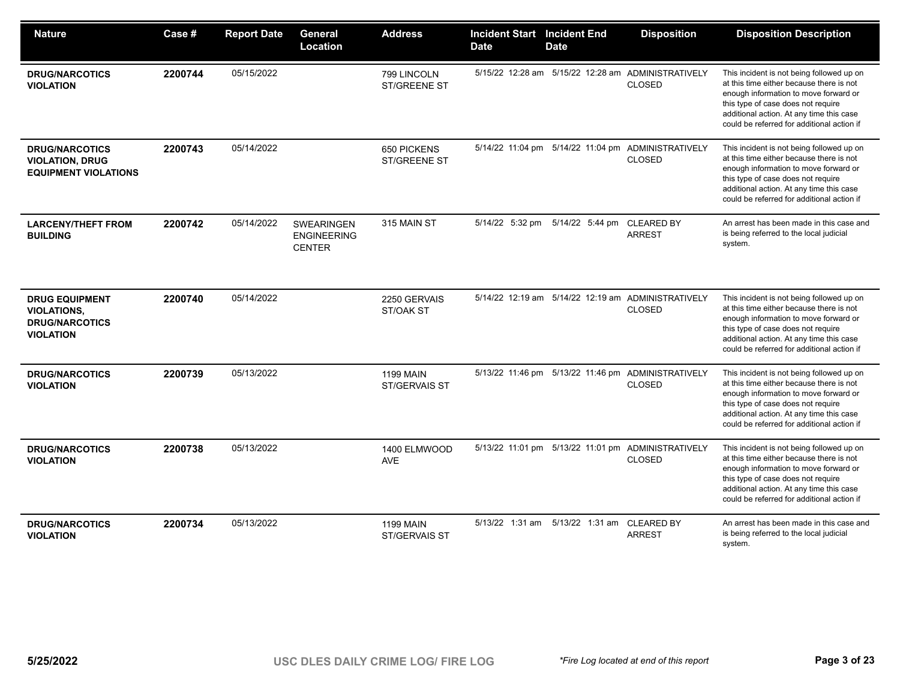| <b>Nature</b>                                                                            | Case #  | <b>Report Date</b> | General<br>Location                               | <b>Address</b>                     | <b>Incident Start Incident End</b><br><b>Date</b> | <b>Date</b>                                | <b>Disposition</b>                                                  | <b>Disposition Description</b>                                                                                                                                                                                                                                 |
|------------------------------------------------------------------------------------------|---------|--------------------|---------------------------------------------------|------------------------------------|---------------------------------------------------|--------------------------------------------|---------------------------------------------------------------------|----------------------------------------------------------------------------------------------------------------------------------------------------------------------------------------------------------------------------------------------------------------|
| <b>DRUG/NARCOTICS</b><br><b>VIOLATION</b>                                                | 2200744 | 05/15/2022         |                                                   | 799 LINCOLN<br><b>ST/GREENE ST</b> |                                                   |                                            | 5/15/22 12:28 am 5/15/22 12:28 am ADMINISTRATIVELY<br><b>CLOSED</b> | This incident is not being followed up on<br>at this time either because there is not<br>enough information to move forward or<br>this type of case does not require<br>additional action. At any time this case<br>could be referred for additional action if |
| <b>DRUG/NARCOTICS</b><br><b>VIOLATION, DRUG</b><br><b>EQUIPMENT VIOLATIONS</b>           | 2200743 | 05/14/2022         |                                                   | 650 PICKENS<br><b>ST/GREENE ST</b> |                                                   |                                            | 5/14/22 11:04 pm 5/14/22 11:04 pm ADMINISTRATIVELY<br><b>CLOSED</b> | This incident is not being followed up on<br>at this time either because there is not<br>enough information to move forward or<br>this type of case does not require<br>additional action. At any time this case<br>could be referred for additional action if |
| <b>LARCENY/THEFT FROM</b><br><b>BUILDING</b>                                             | 2200742 | 05/14/2022         | SWEARINGEN<br><b>ENGINEERING</b><br><b>CENTER</b> | 315 MAIN ST                        | 5/14/22 5:32 pm                                   | 5/14/22 5:44 pm                            | <b>CLEARED BY</b><br><b>ARREST</b>                                  | An arrest has been made in this case and<br>is being referred to the local judicial<br>system.                                                                                                                                                                 |
| <b>DRUG EQUIPMENT</b><br><b>VIOLATIONS,</b><br><b>DRUG/NARCOTICS</b><br><b>VIOLATION</b> | 2200740 | 05/14/2022         |                                                   | 2250 GERVAIS<br>ST/OAK ST          |                                                   |                                            | 5/14/22 12:19 am 5/14/22 12:19 am ADMINISTRATIVELY<br><b>CLOSED</b> | This incident is not being followed up on<br>at this time either because there is not<br>enough information to move forward or<br>this type of case does not require<br>additional action. At any time this case<br>could be referred for additional action if |
| <b>DRUG/NARCOTICS</b><br><b>VIOLATION</b>                                                | 2200739 | 05/13/2022         |                                                   | <b>1199 MAIN</b><br>ST/GERVAIS ST  |                                                   |                                            | 5/13/22 11:46 pm 5/13/22 11:46 pm ADMINISTRATIVELY<br><b>CLOSED</b> | This incident is not being followed up on<br>at this time either because there is not<br>enough information to move forward or<br>this type of case does not require<br>additional action. At any time this case<br>could be referred for additional action if |
| <b>DRUG/NARCOTICS</b><br><b>VIOLATION</b>                                                | 2200738 | 05/13/2022         |                                                   | 1400 ELMWOOD<br><b>AVE</b>         |                                                   |                                            | 5/13/22 11:01 pm 5/13/22 11:01 pm ADMINISTRATIVELY<br><b>CLOSED</b> | This incident is not being followed up on<br>at this time either because there is not<br>enough information to move forward or<br>this type of case does not require<br>additional action. At any time this case<br>could be referred for additional action if |
| <b>DRUG/NARCOTICS</b><br><b>VIOLATION</b>                                                | 2200734 | 05/13/2022         |                                                   | <b>1199 MAIN</b><br>ST/GERVAIS ST  |                                                   | 5/13/22 1:31 am 5/13/22 1:31 am CLEARED BY | <b>ARREST</b>                                                       | An arrest has been made in this case and<br>is being referred to the local judicial<br>system.                                                                                                                                                                 |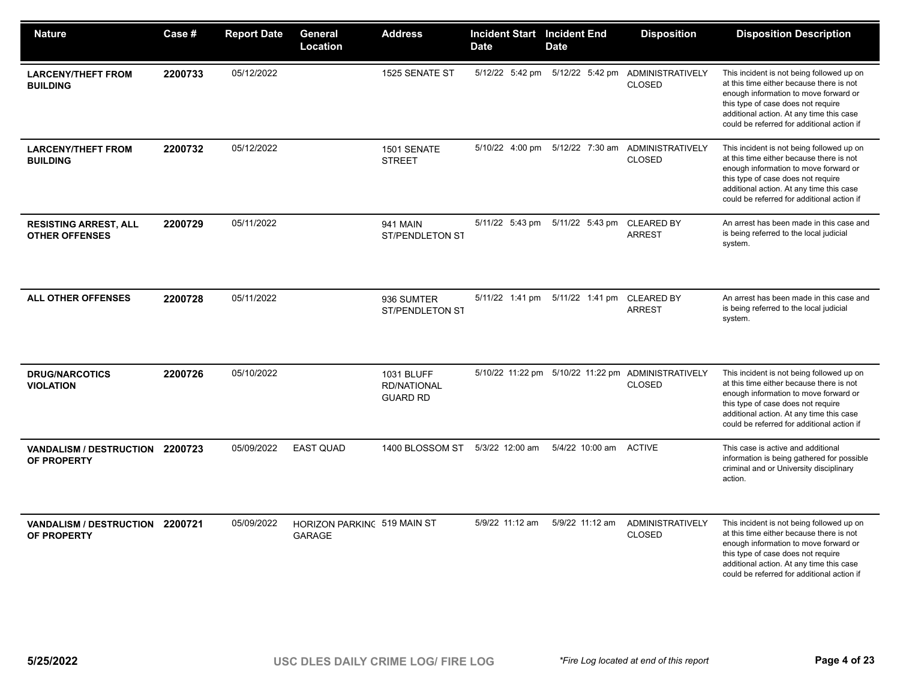| <b>Nature</b>                                         | <b>Case #</b> | <b>Report Date</b> | General<br>Location                          | <b>Address</b>                                      | <b>Incident Start Incident End</b><br><b>Date</b> | <b>Date</b>                     | <b>Disposition</b>                                                  | <b>Disposition Description</b>                                                                                                                                                                                                                                 |
|-------------------------------------------------------|---------------|--------------------|----------------------------------------------|-----------------------------------------------------|---------------------------------------------------|---------------------------------|---------------------------------------------------------------------|----------------------------------------------------------------------------------------------------------------------------------------------------------------------------------------------------------------------------------------------------------------|
| <b>LARCENY/THEFT FROM</b><br><b>BUILDING</b>          | 2200733       | 05/12/2022         |                                              | 1525 SENATE ST                                      |                                                   | 5/12/22 5:42 pm 5/12/22 5:42 pm | ADMINISTRATIVELY<br><b>CLOSED</b>                                   | This incident is not being followed up on<br>at this time either because there is not<br>enough information to move forward or<br>this type of case does not require<br>additional action. At any time this case<br>could be referred for additional action if |
| <b>LARCENY/THEFT FROM</b><br><b>BUILDING</b>          | 2200732       | 05/12/2022         |                                              | 1501 SENATE<br><b>STREET</b>                        |                                                   | 5/10/22 4:00 pm 5/12/22 7:30 am | ADMINISTRATIVELY<br><b>CLOSED</b>                                   | This incident is not being followed up on<br>at this time either because there is not<br>enough information to move forward or<br>this type of case does not require<br>additional action. At any time this case<br>could be referred for additional action if |
| <b>RESISTING ARREST, ALL</b><br><b>OTHER OFFENSES</b> | 2200729       | 05/11/2022         |                                              | <b>941 MAIN</b><br>ST/PENDLETON ST                  | 5/11/22 5:43 pm                                   | 5/11/22 5:43 pm CLEARED BY      | <b>ARREST</b>                                                       | An arrest has been made in this case and<br>is being referred to the local judicial<br>system.                                                                                                                                                                 |
| <b>ALL OTHER OFFENSES</b>                             | 2200728       | 05/11/2022         |                                              | 936 SUMTER<br>ST/PENDLETON ST                       | 5/11/22 1:41 pm                                   | 5/11/22 1:41 pm                 | <b>CLEARED BY</b><br><b>ARREST</b>                                  | An arrest has been made in this case and<br>is being referred to the local judicial<br>system.                                                                                                                                                                 |
| <b>DRUG/NARCOTICS</b><br><b>VIOLATION</b>             | 2200726       | 05/10/2022         |                                              | 1031 BLUFF<br><b>RD/NATIONAL</b><br><b>GUARD RD</b> |                                                   |                                 | 5/10/22 11:22 pm 5/10/22 11:22 pm ADMINISTRATIVELY<br><b>CLOSED</b> | This incident is not being followed up on<br>at this time either because there is not<br>enough information to move forward or<br>this type of case does not require<br>additional action. At any time this case<br>could be referred for additional action if |
| VANDALISM / DESTRUCTION 2200723<br>OF PROPERTY        |               | 05/09/2022         | <b>EAST QUAD</b>                             | 1400 BLOSSOM ST 5/3/22 12:00 am                     |                                                   | 5/4/22 10:00 am                 | <b>ACTIVE</b>                                                       | This case is active and additional<br>information is being gathered for possible<br>criminal and or University disciplinary<br>action.                                                                                                                         |
| VANDALISM / DESTRUCTION 2200721<br>OF PROPERTY        |               | 05/09/2022         | HORIZON PARKING 519 MAIN ST<br><b>GARAGE</b> |                                                     | 5/9/22 11:12 am                                   | 5/9/22 11:12 am                 | <b>ADMINISTRATIVELY</b><br><b>CLOSED</b>                            | This incident is not being followed up on<br>at this time either because there is not<br>enough information to move forward or<br>this type of case does not require<br>additional action. At any time this case<br>could be referred for additional action if |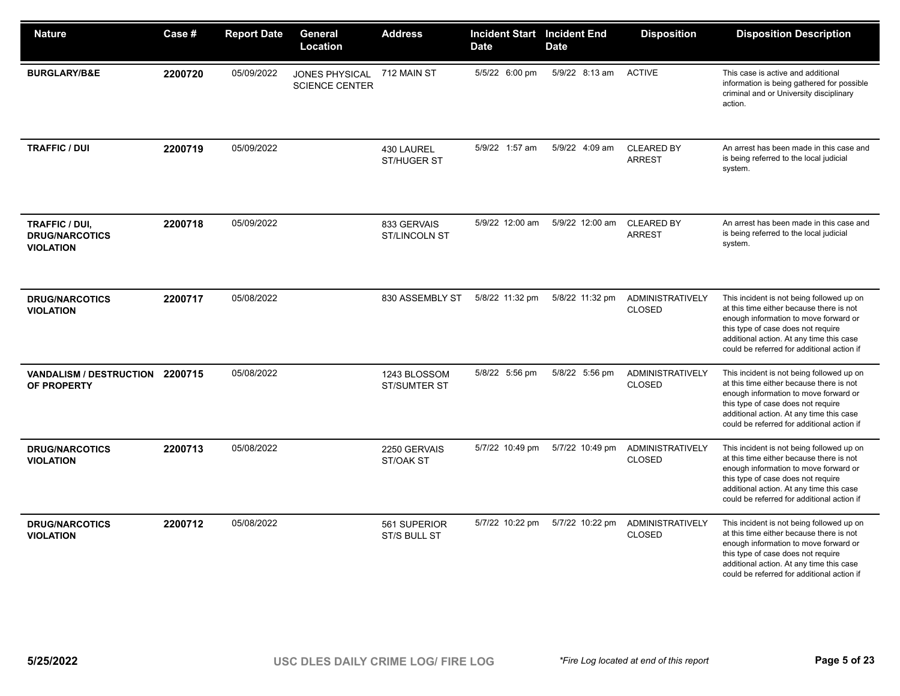| <b>Nature</b>                                               | Case #  | <b>Report Date</b> | General<br><b>Location</b>                     | <b>Address</b>                      | <b>Incident Start</b><br><b>Date</b> | <b>Incident End</b><br><b>Date</b> | <b>Disposition</b>                       | <b>Disposition Description</b>                                                                                                                                                                                                                                 |
|-------------------------------------------------------------|---------|--------------------|------------------------------------------------|-------------------------------------|--------------------------------------|------------------------------------|------------------------------------------|----------------------------------------------------------------------------------------------------------------------------------------------------------------------------------------------------------------------------------------------------------------|
| <b>BURGLARY/B&amp;E</b>                                     | 2200720 | 05/09/2022         | <b>JONES PHYSICAL</b><br><b>SCIENCE CENTER</b> | 712 MAIN ST                         | 5/5/22 6:00 pm                       | 5/9/22 8:13 am                     | <b>ACTIVE</b>                            | This case is active and additional<br>information is being gathered for possible<br>criminal and or University disciplinary<br>action.                                                                                                                         |
| <b>TRAFFIC / DUI</b>                                        | 2200719 | 05/09/2022         |                                                | 430 LAUREL<br>ST/HUGER ST           | 5/9/22 1:57 am                       | 5/9/22 4:09 am                     | <b>CLEARED BY</b><br><b>ARREST</b>       | An arrest has been made in this case and<br>is being referred to the local judicial<br>system.                                                                                                                                                                 |
| TRAFFIC / DUI,<br><b>DRUG/NARCOTICS</b><br><b>VIOLATION</b> | 2200718 | 05/09/2022         |                                                | 833 GERVAIS<br><b>ST/LINCOLN ST</b> | 5/9/22 12:00 am                      | 5/9/22 12:00 am                    | <b>CLEARED BY</b><br><b>ARREST</b>       | An arrest has been made in this case and<br>is being referred to the local judicial<br>system.                                                                                                                                                                 |
| <b>DRUG/NARCOTICS</b><br><b>VIOLATION</b>                   | 2200717 | 05/08/2022         |                                                | 830 ASSEMBLY ST                     | 5/8/22 11:32 pm                      | 5/8/22 11:32 pm                    | <b>ADMINISTRATIVELY</b><br><b>CLOSED</b> | This incident is not being followed up on<br>at this time either because there is not<br>enough information to move forward or<br>this type of case does not require<br>additional action. At any time this case<br>could be referred for additional action if |
| VANDALISM / DESTRUCTION 2200715<br>OF PROPERTY              |         | 05/08/2022         |                                                | 1243 BLOSSOM<br><b>ST/SUMTER ST</b> | 5/8/22 5:56 pm                       | 5/8/22 5:56 pm                     | ADMINISTRATIVELY<br><b>CLOSED</b>        | This incident is not being followed up on<br>at this time either because there is not<br>enough information to move forward or<br>this type of case does not require<br>additional action. At any time this case<br>could be referred for additional action if |
| <b>DRUG/NARCOTICS</b><br><b>VIOLATION</b>                   | 2200713 | 05/08/2022         |                                                | 2250 GERVAIS<br>ST/OAK ST           | 5/7/22 10:49 pm                      | 5/7/22 10:49 pm                    | <b>ADMINISTRATIVELY</b><br><b>CLOSED</b> | This incident is not being followed up on<br>at this time either because there is not<br>enough information to move forward or<br>this type of case does not require<br>additional action. At any time this case<br>could be referred for additional action if |
| <b>DRUG/NARCOTICS</b><br><b>VIOLATION</b>                   | 2200712 | 05/08/2022         |                                                | 561 SUPERIOR<br>ST/S BULL ST        | 5/7/22 10:22 pm                      | 5/7/22 10:22 pm                    | ADMINISTRATIVELY<br><b>CLOSED</b>        | This incident is not being followed up on<br>at this time either because there is not<br>enough information to move forward or<br>this type of case does not require<br>additional action. At any time this case<br>could be referred for additional action if |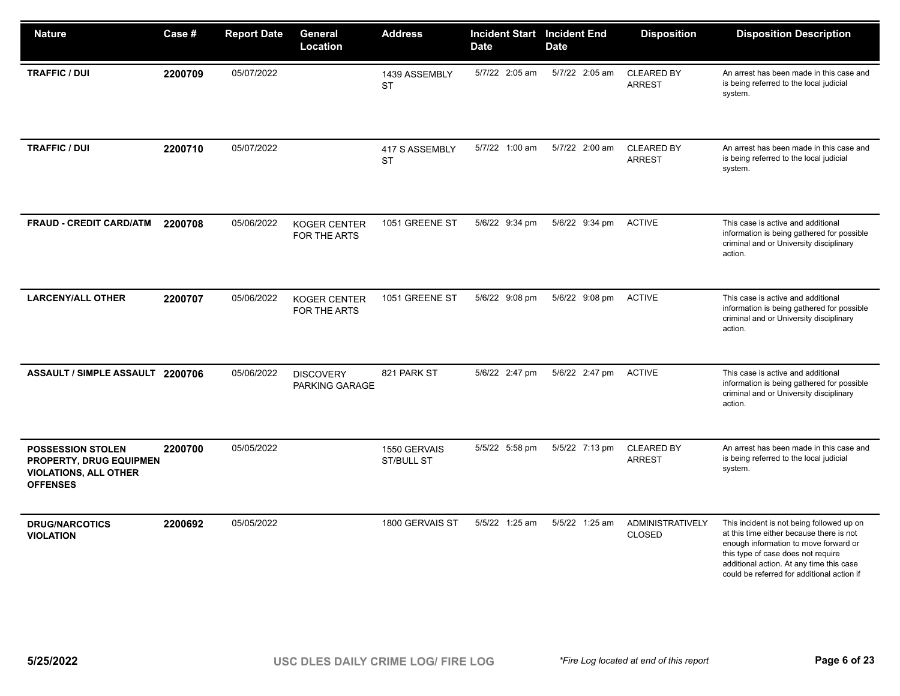| <b>Nature</b>                                                                                                 | Case #  | <b>Report Date</b> | General<br>Location                        | <b>Address</b>              | <b>Incident Start</b> Incident End<br><b>Date</b> | <b>Date</b>    | <b>Disposition</b>                 | <b>Disposition Description</b>                                                                                                                                                                                                                                 |
|---------------------------------------------------------------------------------------------------------------|---------|--------------------|--------------------------------------------|-----------------------------|---------------------------------------------------|----------------|------------------------------------|----------------------------------------------------------------------------------------------------------------------------------------------------------------------------------------------------------------------------------------------------------------|
| <b>TRAFFIC / DUI</b>                                                                                          | 2200709 | 05/07/2022         |                                            | 1439 ASSEMBLY<br><b>ST</b>  | 5/7/22 2:05 am                                    | 5/7/22 2:05 am | <b>CLEARED BY</b><br><b>ARREST</b> | An arrest has been made in this case and<br>is being referred to the local judicial<br>system.                                                                                                                                                                 |
| <b>TRAFFIC / DUI</b>                                                                                          | 2200710 | 05/07/2022         |                                            | 417 S ASSEMBLY<br><b>ST</b> | 5/7/22 1:00 am                                    | 5/7/22 2:00 am | <b>CLEARED BY</b><br><b>ARREST</b> | An arrest has been made in this case and<br>is being referred to the local judicial<br>system.                                                                                                                                                                 |
| <b>FRAUD - CREDIT CARD/ATM</b>                                                                                | 2200708 | 05/06/2022         | <b>KOGER CENTER</b><br><b>FOR THE ARTS</b> | 1051 GREENE ST              | 5/6/22 9:34 pm                                    | 5/6/22 9:34 pm | <b>ACTIVE</b>                      | This case is active and additional<br>information is being gathered for possible<br>criminal and or University disciplinary<br>action.                                                                                                                         |
| <b>LARCENY/ALL OTHER</b>                                                                                      | 2200707 | 05/06/2022         | <b>KOGER CENTER</b><br>FOR THE ARTS        | 1051 GREENE ST              | 5/6/22 9:08 pm                                    | 5/6/22 9:08 pm | <b>ACTIVE</b>                      | This case is active and additional<br>information is being gathered for possible<br>criminal and or University disciplinary<br>action.                                                                                                                         |
| ASSAULT / SIMPLE ASSAULT 2200706                                                                              |         | 05/06/2022         | <b>DISCOVERY</b><br>PARKING GARAGE         | 821 PARK ST                 | 5/6/22 2:47 pm                                    | 5/6/22 2:47 pm | <b>ACTIVE</b>                      | This case is active and additional<br>information is being gathered for possible<br>criminal and or University disciplinary<br>action.                                                                                                                         |
| <b>POSSESSION STOLEN</b><br><b>PROPERTY, DRUG EQUIPMEN</b><br><b>VIOLATIONS, ALL OTHER</b><br><b>OFFENSES</b> | 2200700 | 05/05/2022         |                                            | 1550 GERVAIS<br>ST/BULL ST  | 5/5/22 5:58 pm                                    | 5/5/22 7:13 pm | <b>CLEARED BY</b><br><b>ARREST</b> | An arrest has been made in this case and<br>is being referred to the local judicial<br>system.                                                                                                                                                                 |
| <b>DRUG/NARCOTICS</b><br><b>VIOLATION</b>                                                                     | 2200692 | 05/05/2022         |                                            | 1800 GERVAIS ST             | 5/5/22 1:25 am                                    | 5/5/22 1:25 am | ADMINISTRATIVELY<br><b>CLOSED</b>  | This incident is not being followed up on<br>at this time either because there is not<br>enough information to move forward or<br>this type of case does not require<br>additional action. At any time this case<br>could be referred for additional action if |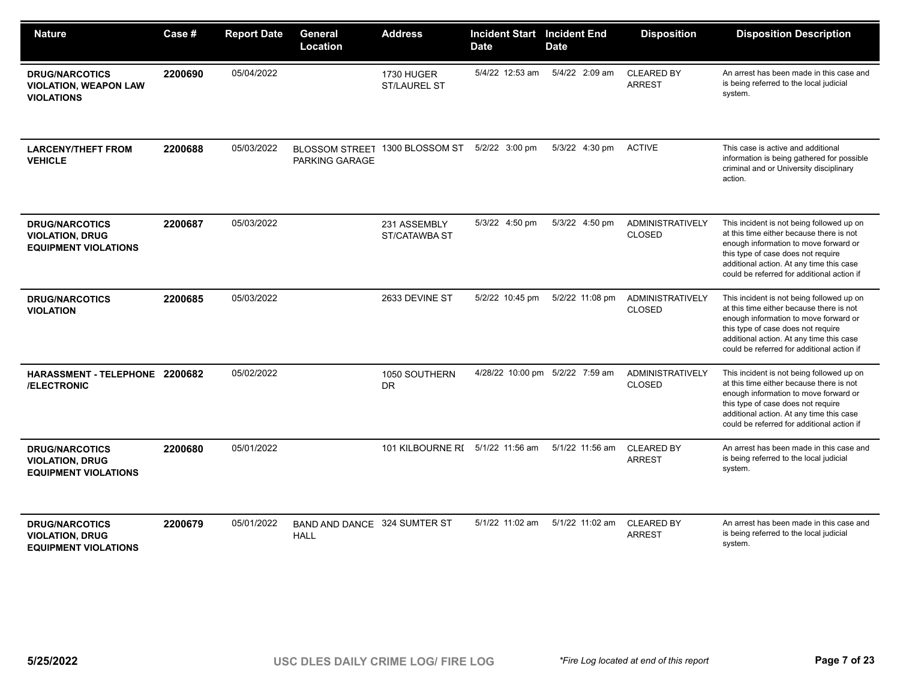| <b>Nature</b>                                                                  | Case#   | <b>Report Date</b> | General<br>Location                         | <b>Address</b>                    | <b>Incident Start</b><br><b>Date</b> | <b>Incident End</b><br><b>Date</b> | <b>Disposition</b>                       | <b>Disposition Description</b>                                                                                                                                                                                                                                 |
|--------------------------------------------------------------------------------|---------|--------------------|---------------------------------------------|-----------------------------------|--------------------------------------|------------------------------------|------------------------------------------|----------------------------------------------------------------------------------------------------------------------------------------------------------------------------------------------------------------------------------------------------------------|
| <b>DRUG/NARCOTICS</b><br><b>VIOLATION, WEAPON LAW</b><br><b>VIOLATIONS</b>     | 2200690 | 05/04/2022         |                                             | 1730 HUGER<br><b>ST/LAUREL ST</b> | 5/4/22 12:53 am                      | 5/4/22 2:09 am                     | <b>CLEARED BY</b><br><b>ARREST</b>       | An arrest has been made in this case and<br>is being referred to the local judicial<br>system.                                                                                                                                                                 |
| <b>LARCENY/THEFT FROM</b><br><b>VEHICLE</b>                                    | 2200688 | 05/03/2022         | PARKING GARAGE                              | BLOSSOM STREET 1300 BLOSSOM ST    | 5/2/22 3:00 pm                       | 5/3/22 4:30 pm                     | <b>ACTIVE</b>                            | This case is active and additional<br>information is being gathered for possible<br>criminal and or University disciplinary<br>action.                                                                                                                         |
| <b>DRUG/NARCOTICS</b><br><b>VIOLATION, DRUG</b><br><b>EQUIPMENT VIOLATIONS</b> | 2200687 | 05/03/2022         |                                             | 231 ASSEMBLY<br>ST/CATAWBA ST     | 5/3/22 4:50 pm                       | 5/3/22 4:50 pm                     | ADMINISTRATIVELY<br><b>CLOSED</b>        | This incident is not being followed up on<br>at this time either because there is not<br>enough information to move forward or<br>this type of case does not require<br>additional action. At any time this case<br>could be referred for additional action if |
| <b>DRUG/NARCOTICS</b><br><b>VIOLATION</b>                                      | 2200685 | 05/03/2022         |                                             | 2633 DEVINE ST                    | 5/2/22 10:45 pm                      | 5/2/22 11:08 pm                    | ADMINISTRATIVELY<br><b>CLOSED</b>        | This incident is not being followed up on<br>at this time either because there is not<br>enough information to move forward or<br>this type of case does not require<br>additional action. At any time this case<br>could be referred for additional action if |
| HARASSMENT - TELEPHONE 2200682<br>/ELECTRONIC                                  |         | 05/02/2022         |                                             | 1050 SOUTHERN<br>DR               |                                      | 4/28/22 10:00 pm 5/2/22 7:59 am    | <b>ADMINISTRATIVELY</b><br><b>CLOSED</b> | This incident is not being followed up on<br>at this time either because there is not<br>enough information to move forward or<br>this type of case does not require<br>additional action. At any time this case<br>could be referred for additional action if |
| <b>DRUG/NARCOTICS</b><br><b>VIOLATION, DRUG</b><br><b>EQUIPMENT VIOLATIONS</b> | 2200680 | 05/01/2022         |                                             | 101 KILBOURNE RI 5/1/22 11:56 am  |                                      | 5/1/22 11:56 am                    | <b>CLEARED BY</b><br><b>ARREST</b>       | An arrest has been made in this case and<br>is being referred to the local judicial<br>system.                                                                                                                                                                 |
| <b>DRUG/NARCOTICS</b><br><b>VIOLATION, DRUG</b><br><b>EQUIPMENT VIOLATIONS</b> | 2200679 | 05/01/2022         | BAND AND DANCE 324 SUMTER ST<br><b>HALL</b> |                                   | $5/1/22$ 11:02 am                    | 5/1/22 11:02 am                    | <b>CLEARED BY</b><br><b>ARREST</b>       | An arrest has been made in this case and<br>is being referred to the local judicial<br>system.                                                                                                                                                                 |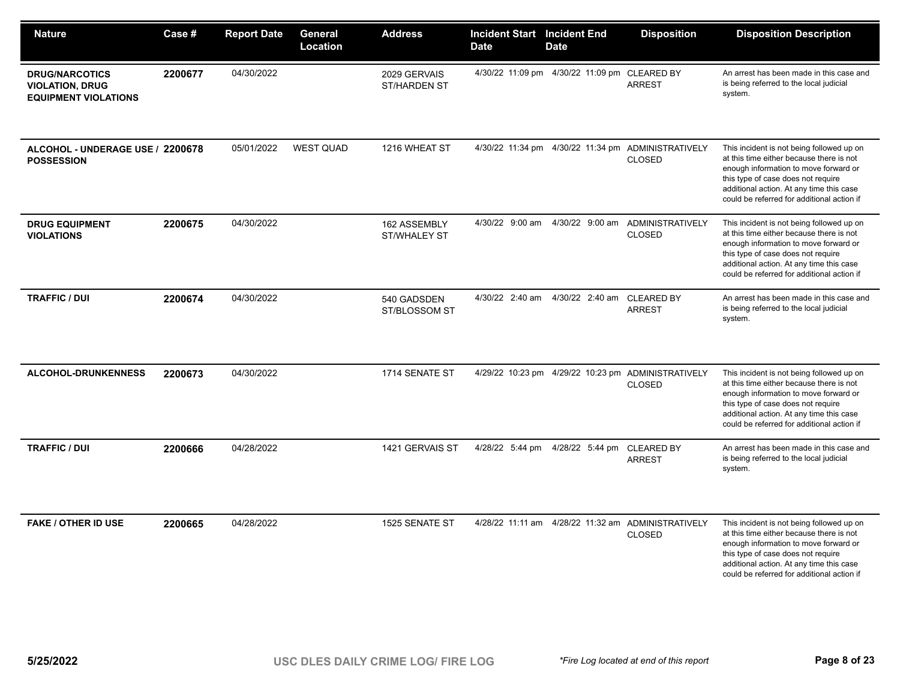| <b>Nature</b>                                                                  | Case #  | <b>Report Date</b> | General<br>Location | <b>Address</b>                      | <b>Incident Start Incident End</b><br><b>Date</b> | <b>Date</b>                                    | <b>Disposition</b>                                                    | <b>Disposition Description</b>                                                                                                                                                                                                                                 |
|--------------------------------------------------------------------------------|---------|--------------------|---------------------|-------------------------------------|---------------------------------------------------|------------------------------------------------|-----------------------------------------------------------------------|----------------------------------------------------------------------------------------------------------------------------------------------------------------------------------------------------------------------------------------------------------------|
| <b>DRUG/NARCOTICS</b><br><b>VIOLATION, DRUG</b><br><b>EQUIPMENT VIOLATIONS</b> | 2200677 | 04/30/2022         |                     | 2029 GERVAIS<br><b>ST/HARDEN ST</b> |                                                   | 4/30/22 11:09 pm  4/30/22 11:09 pm  CLEARED BY | <b>ARREST</b>                                                         | An arrest has been made in this case and<br>is being referred to the local judicial<br>system.                                                                                                                                                                 |
| ALCOHOL - UNDERAGE USE / 2200678<br><b>POSSESSION</b>                          |         | 05/01/2022         | <b>WEST QUAD</b>    | 1216 WHEAT ST                       |                                                   |                                                | 4/30/22 11:34 pm  4/30/22 11:34 pm  ADMINISTRATIVELY<br><b>CLOSED</b> | This incident is not being followed up on<br>at this time either because there is not<br>enough information to move forward or<br>this type of case does not require<br>additional action. At any time this case<br>could be referred for additional action if |
| <b>DRUG EQUIPMENT</b><br><b>VIOLATIONS</b>                                     | 2200675 | 04/30/2022         |                     | 162 ASSEMBLY<br><b>ST/WHALEY ST</b> | 4/30/22 9:00 am                                   | 4/30/22 9:00 am                                | ADMINISTRATIVELY<br><b>CLOSED</b>                                     | This incident is not being followed up on<br>at this time either because there is not<br>enough information to move forward or<br>this type of case does not require<br>additional action. At any time this case<br>could be referred for additional action if |
| <b>TRAFFIC / DUI</b>                                                           | 2200674 | 04/30/2022         |                     | 540 GADSDEN<br>ST/BLOSSOM ST        | 4/30/22 2:40 am                                   | 4/30/22 2:40 am                                | <b>CLEARED BY</b><br><b>ARREST</b>                                    | An arrest has been made in this case and<br>is being referred to the local judicial<br>system.                                                                                                                                                                 |
| <b>ALCOHOL-DRUNKENNESS</b>                                                     | 2200673 | 04/30/2022         |                     | 1714 SENATE ST                      |                                                   |                                                | 4/29/22 10:23 pm  4/29/22 10:23 pm  ADMINISTRATIVELY<br><b>CLOSED</b> | This incident is not being followed up on<br>at this time either because there is not<br>enough information to move forward or<br>this type of case does not require<br>additional action. At any time this case<br>could be referred for additional action if |
| <b>TRAFFIC / DUI</b>                                                           | 2200666 | 04/28/2022         |                     | 1421 GERVAIS ST                     | 4/28/22 5:44 pm                                   | 4/28/22 5:44 pm                                | <b>CLEARED BY</b><br><b>ARREST</b>                                    | An arrest has been made in this case and<br>is being referred to the local judicial<br>system.                                                                                                                                                                 |
| <b>FAKE / OTHER ID USE</b>                                                     | 2200665 | 04/28/2022         |                     | 1525 SENATE ST                      |                                                   |                                                | 4/28/22 11:11 am  4/28/22 11:32 am  ADMINISTRATIVELY<br><b>CLOSED</b> | This incident is not being followed up on<br>at this time either because there is not<br>enough information to move forward or<br>this type of case does not require<br>additional action. At any time this case<br>could be referred for additional action if |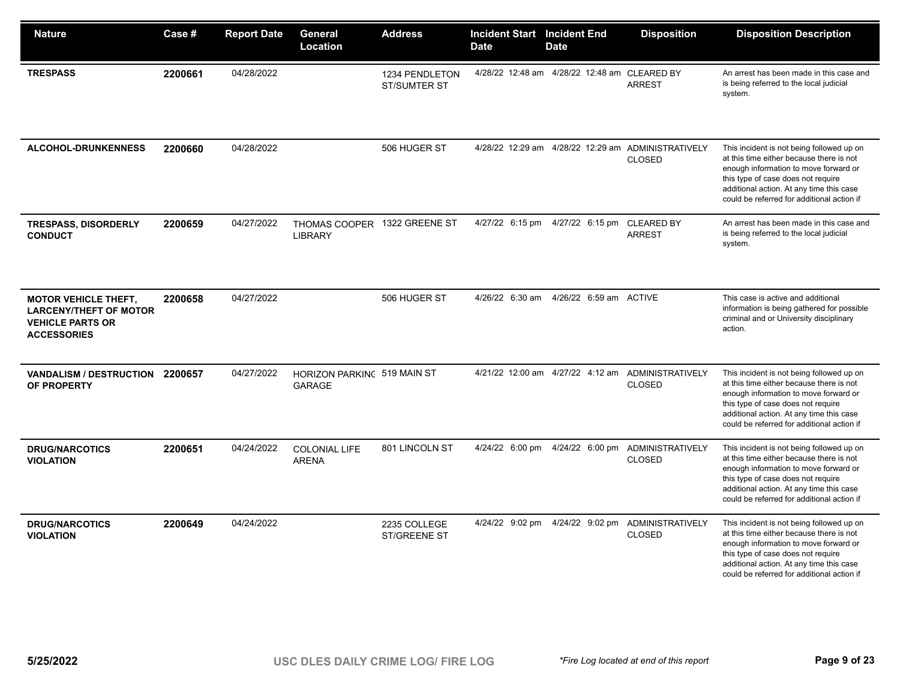| <b>Nature</b>                                                                                                 | Case #  | <b>Report Date</b> | General<br>Location                            | <b>Address</b>                        | <b>Incident Start</b><br><b>Date</b> | <b>Incident End</b><br><b>Date</b>           | <b>Disposition</b>                                                 | <b>Disposition Description</b>                                                                                                                                                                                                                                 |
|---------------------------------------------------------------------------------------------------------------|---------|--------------------|------------------------------------------------|---------------------------------------|--------------------------------------|----------------------------------------------|--------------------------------------------------------------------|----------------------------------------------------------------------------------------------------------------------------------------------------------------------------------------------------------------------------------------------------------------|
| <b>TRESPASS</b>                                                                                               | 2200661 | 04/28/2022         |                                                | 1234 PENDLETON<br><b>ST/SUMTER ST</b> |                                      | 4/28/22 12:48 am 4/28/22 12:48 am CLEARED BY | <b>ARREST</b>                                                      | An arrest has been made in this case and<br>is being referred to the local judicial<br>system.                                                                                                                                                                 |
| <b>ALCOHOL-DRUNKENNESS</b>                                                                                    | 2200660 | 04/28/2022         |                                                | 506 HUGER ST                          | 4/28/22 12:29 am                     |                                              | 4/28/22 12:29 am ADMINISTRATIVELY<br><b>CLOSED</b>                 | This incident is not being followed up on<br>at this time either because there is not<br>enough information to move forward or<br>this type of case does not require<br>additional action. At any time this case<br>could be referred for additional action if |
| <b>TRESPASS, DISORDERLY</b><br><b>CONDUCT</b>                                                                 | 2200659 | 04/27/2022         | THOMAS COOPER 1322 GREENE ST<br><b>LIBRARY</b> |                                       | 4/27/22 6:15 pm                      | 4/27/22 6:15 pm CLEARED BY                   | <b>ARREST</b>                                                      | An arrest has been made in this case and<br>is being referred to the local judicial<br>system.                                                                                                                                                                 |
| <b>MOTOR VEHICLE THEFT,</b><br><b>LARCENY/THEFT OF MOTOR</b><br><b>VEHICLE PARTS OR</b><br><b>ACCESSORIES</b> | 2200658 | 04/27/2022         |                                                | 506 HUGER ST                          | 4/26/22 6:30 am                      | 4/26/22 6:59 am ACTIVE                       |                                                                    | This case is active and additional<br>information is being gathered for possible<br>criminal and or University disciplinary<br>action.                                                                                                                         |
| VANDALISM / DESTRUCTION 2200657<br>OF PROPERTY                                                                |         | 04/27/2022         | HORIZON PARKING 519 MAIN ST<br><b>GARAGE</b>   |                                       |                                      |                                              | 4/21/22 12:00 am 4/27/22 4:12 am ADMINISTRATIVELY<br><b>CLOSED</b> | This incident is not being followed up on<br>at this time either because there is not<br>enough information to move forward or<br>this type of case does not require<br>additional action. At any time this case<br>could be referred for additional action if |
| <b>DRUG/NARCOTICS</b><br><b>VIOLATION</b>                                                                     | 2200651 | 04/24/2022         | <b>COLONIAL LIFE</b><br><b>ARENA</b>           | 801 LINCOLN ST                        | 4/24/22 6:00 pm                      |                                              | 4/24/22 6:00 pm ADMINISTRATIVELY<br><b>CLOSED</b>                  | This incident is not being followed up on<br>at this time either because there is not<br>enough information to move forward or<br>this type of case does not require<br>additional action. At any time this case<br>could be referred for additional action if |
| <b>DRUG/NARCOTICS</b><br><b>VIOLATION</b>                                                                     | 2200649 | 04/24/2022         |                                                | 2235 COLLEGE<br><b>ST/GREENE ST</b>   | 4/24/22 9:02 pm                      | 4/24/22 9:02 pm                              | ADMINISTRATIVELY<br><b>CLOSED</b>                                  | This incident is not being followed up on<br>at this time either because there is not<br>enough information to move forward or<br>this type of case does not require<br>additional action. At any time this case<br>could be referred for additional action if |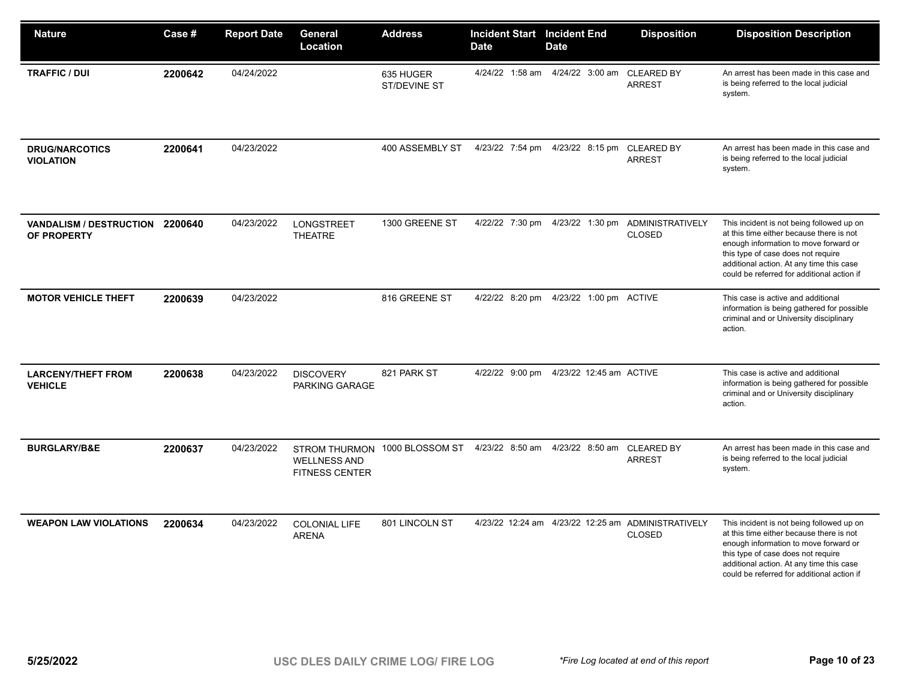| <b>Nature</b>                                  | Case #  | <b>Report Date</b> | General<br>Location                          | <b>Address</b>                | <b>Incident Start Incident End</b><br><b>Date</b> | <b>Date</b>                             | <b>Disposition</b>                                                  | <b>Disposition Description</b>                                                                                                                                                                                                                                 |
|------------------------------------------------|---------|--------------------|----------------------------------------------|-------------------------------|---------------------------------------------------|-----------------------------------------|---------------------------------------------------------------------|----------------------------------------------------------------------------------------------------------------------------------------------------------------------------------------------------------------------------------------------------------------|
| <b>TRAFFIC / DUI</b>                           | 2200642 | 04/24/2022         |                                              | 635 HUGER<br>ST/DEVINE ST     | 4/24/22 1:58 am                                   | 4/24/22 3:00 am                         | <b>CLEARED BY</b><br><b>ARREST</b>                                  | An arrest has been made in this case and<br>is being referred to the local judicial<br>system.                                                                                                                                                                 |
| <b>DRUG/NARCOTICS</b><br><b>VIOLATION</b>      | 2200641 | 04/23/2022         |                                              | 400 ASSEMBLY ST               | 4/23/22 7:54 pm                                   | 4/23/22 8:15 pm CLEARED BY              | <b>ARREST</b>                                                       | An arrest has been made in this case and<br>is being referred to the local judicial<br>system.                                                                                                                                                                 |
| VANDALISM / DESTRUCTION 2200640<br>OF PROPERTY |         | 04/23/2022         | <b>LONGSTREET</b><br><b>THEATRE</b>          | 1300 GREENE ST                | 4/22/22 7:30 pm                                   | 4/23/22 1:30 pm                         | <b>ADMINISTRATIVELY</b><br><b>CLOSED</b>                            | This incident is not being followed up on<br>at this time either because there is not<br>enough information to move forward or<br>this type of case does not require<br>additional action. At any time this case<br>could be referred for additional action if |
| <b>MOTOR VEHICLE THEFT</b>                     | 2200639 | 04/23/2022         |                                              | 816 GREENE ST                 | 4/22/22 8:20 pm                                   | 4/23/22 1:00 pm ACTIVE                  |                                                                     | This case is active and additional<br>information is being gathered for possible<br>criminal and or University disciplinary<br>action.                                                                                                                         |
| <b>LARCENY/THEFT FROM</b><br><b>VEHICLE</b>    | 2200638 | 04/23/2022         | <b>DISCOVERY</b><br>PARKING GARAGE           | 821 PARK ST                   |                                                   | 4/22/22 9:00 pm 4/23/22 12:45 am ACTIVE |                                                                     | This case is active and additional<br>information is being gathered for possible<br>criminal and or University disciplinary<br>action.                                                                                                                         |
| <b>BURGLARY/B&amp;E</b>                        | 2200637 | 04/23/2022         | <b>WELLNESS AND</b><br><b>FITNESS CENTER</b> | STROM THURMON 1000 BLOSSOM ST | 4/23/22 8:50 am                                   | 4/23/22 8:50 am                         | <b>CLEARED BY</b><br><b>ARREST</b>                                  | An arrest has been made in this case and<br>is being referred to the local judicial<br>system.                                                                                                                                                                 |
| <b>WEAPON LAW VIOLATIONS</b>                   | 2200634 | 04/23/2022         | <b>COLONIAL LIFE</b><br><b>ARENA</b>         | 801 LINCOLN ST                |                                                   |                                         | 4/23/22 12:24 am 4/23/22 12:25 am ADMINISTRATIVELY<br><b>CLOSED</b> | This incident is not being followed up on<br>at this time either because there is not<br>enough information to move forward or<br>this type of case does not require<br>additional action. At any time this case<br>could be referred for additional action if |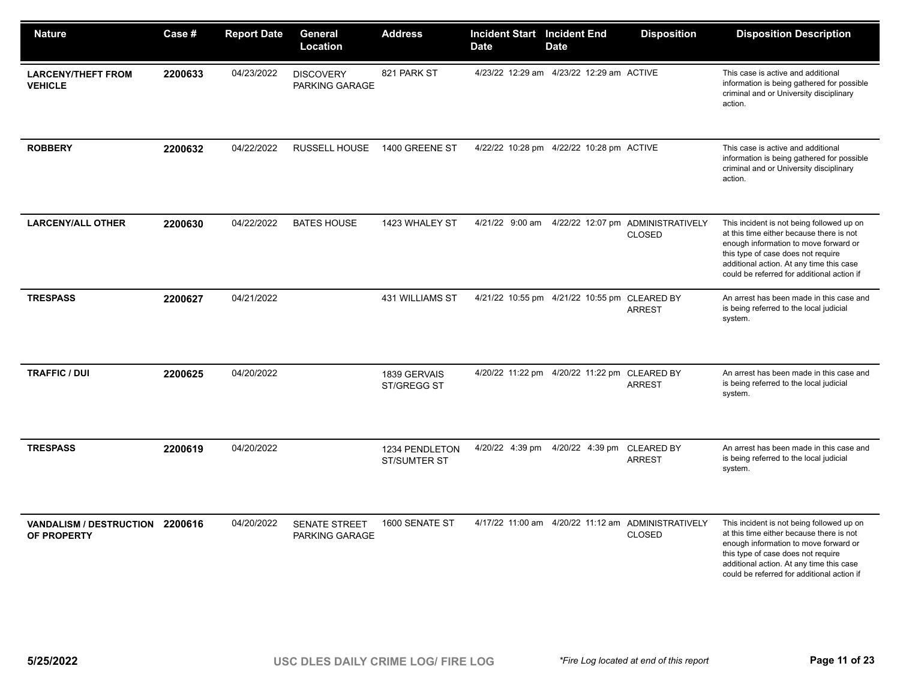| <b>Nature</b>                                  | Case #  | <b>Report Date</b> | General<br>Location                | <b>Address</b>                        | <b>Incident Start Incident End</b><br><b>Date</b> | <b>Date</b>                                    | <b>Disposition</b>                                                    | <b>Disposition Description</b>                                                                                                                                                                                                                                 |
|------------------------------------------------|---------|--------------------|------------------------------------|---------------------------------------|---------------------------------------------------|------------------------------------------------|-----------------------------------------------------------------------|----------------------------------------------------------------------------------------------------------------------------------------------------------------------------------------------------------------------------------------------------------------|
| <b>LARCENY/THEFT FROM</b><br><b>VEHICLE</b>    | 2200633 | 04/23/2022         | <b>DISCOVERY</b><br>PARKING GARAGE | 821 PARK ST                           |                                                   | 4/23/22 12:29 am 4/23/22 12:29 am ACTIVE       |                                                                       | This case is active and additional<br>information is being gathered for possible<br>criminal and or University disciplinary<br>action.                                                                                                                         |
| <b>ROBBERY</b>                                 | 2200632 | 04/22/2022         | <b>RUSSELL HOUSE</b>               | 1400 GREENE ST                        |                                                   | 4/22/22 10:28 pm  4/22/22 10:28 pm  ACTIVE     |                                                                       | This case is active and additional<br>information is being gathered for possible<br>criminal and or University disciplinary<br>action.                                                                                                                         |
| <b>LARCENY/ALL OTHER</b>                       | 2200630 | 04/22/2022         | <b>BATES HOUSE</b>                 | 1423 WHALEY ST                        | 4/21/22 9:00 am                                   |                                                | 4/22/22 12:07 pm ADMINISTRATIVELY<br><b>CLOSED</b>                    | This incident is not being followed up on<br>at this time either because there is not<br>enough information to move forward or<br>this type of case does not require<br>additional action. At any time this case<br>could be referred for additional action if |
| <b>TRESPASS</b>                                | 2200627 | 04/21/2022         |                                    | 431 WILLIAMS ST                       |                                                   | 4/21/22 10:55 pm  4/21/22 10:55 pm  CLEARED BY | <b>ARREST</b>                                                         | An arrest has been made in this case and<br>is being referred to the local judicial<br>system.                                                                                                                                                                 |
| <b>TRAFFIC / DUI</b>                           | 2200625 | 04/20/2022         |                                    | 1839 GERVAIS<br>ST/GREGG ST           |                                                   | 4/20/22 11:22 pm  4/20/22 11:22 pm  CLEARED BY | <b>ARREST</b>                                                         | An arrest has been made in this case and<br>is being referred to the local judicial<br>system.                                                                                                                                                                 |
| <b>TRESPASS</b>                                | 2200619 | 04/20/2022         |                                    | 1234 PENDLETON<br><b>ST/SUMTER ST</b> |                                                   | 4/20/22 4:39 pm 4/20/22 4:39 pm                | <b>CLEARED BY</b><br><b>ARREST</b>                                    | An arrest has been made in this case and<br>is being referred to the local judicial<br>system.                                                                                                                                                                 |
| VANDALISM / DESTRUCTION 2200616<br>OF PROPERTY |         | 04/20/2022         | SENATE STREET<br>PARKING GARAGE    | 1600 SENATE ST                        |                                                   |                                                | 4/17/22 11:00 am  4/20/22 11:12 am  ADMINISTRATIVELY<br><b>CLOSED</b> | This incident is not being followed up on<br>at this time either because there is not<br>enough information to move forward or<br>this type of case does not require<br>additional action. At any time this case<br>could be referred for additional action if |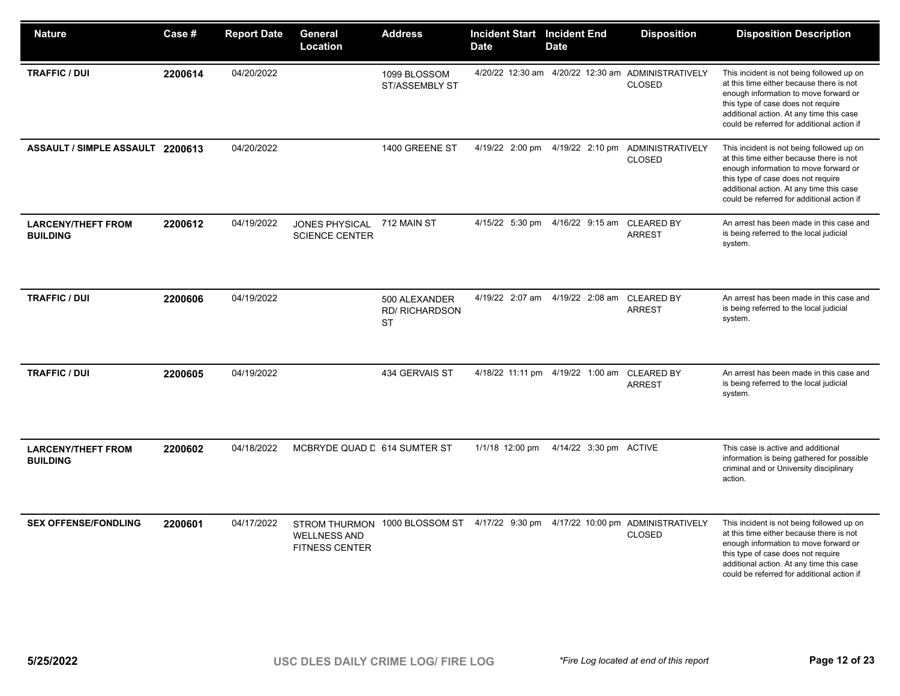| <b>Nature</b>                                | Case #  | <b>Report Date</b> | General<br>Location                            | <b>Address</b>                                      | <b>Incident Start Incident End</b><br><b>Date</b> | <b>Date</b>                      | <b>Disposition</b>                                                    | <b>Disposition Description</b>                                                                                                                                                                                                                                 |
|----------------------------------------------|---------|--------------------|------------------------------------------------|-----------------------------------------------------|---------------------------------------------------|----------------------------------|-----------------------------------------------------------------------|----------------------------------------------------------------------------------------------------------------------------------------------------------------------------------------------------------------------------------------------------------------|
| <b>TRAFFIC / DUI</b>                         | 2200614 | 04/20/2022         |                                                | 1099 BLOSSOM<br><b>ST/ASSEMBLY ST</b>               |                                                   |                                  | 4/20/22 12:30 am  4/20/22 12:30 am  ADMINISTRATIVELY<br><b>CLOSED</b> | This incident is not being followed up on<br>at this time either because there is not<br>enough information to move forward or<br>this type of case does not require<br>additional action. At any time this case<br>could be referred for additional action if |
| ASSAULT / SIMPLE ASSAULT 2200613             |         | 04/20/2022         |                                                | 1400 GREENE ST                                      | 4/19/22 2:00 pm                                   | 4/19/22 2:10 pm                  | ADMINISTRATIVELY<br><b>CLOSED</b>                                     | This incident is not being followed up on<br>at this time either because there is not<br>enough information to move forward or<br>this type of case does not require<br>additional action. At any time this case<br>could be referred for additional action if |
| <b>LARCENY/THEFT FROM</b><br><b>BUILDING</b> | 2200612 | 04/19/2022         | <b>JONES PHYSICAL</b><br><b>SCIENCE CENTER</b> | 712 MAIN ST                                         | 4/15/22 5:30 pm                                   | 4/16/22 9:15 am CLEARED BY       | <b>ARREST</b>                                                         | An arrest has been made in this case and<br>is being referred to the local judicial<br>system.                                                                                                                                                                 |
| <b>TRAFFIC / DUI</b>                         | 2200606 | 04/19/2022         |                                                | 500 ALEXANDER<br><b>RD/ RICHARDSON</b><br><b>ST</b> |                                                   | 4/19/22 2:07 am 4/19/22 2:08 am  | <b>CLEARED BY</b><br><b>ARREST</b>                                    | An arrest has been made in this case and<br>is being referred to the local judicial<br>system.                                                                                                                                                                 |
| <b>TRAFFIC / DUI</b>                         | 2200605 | 04/19/2022         |                                                | 434 GERVAIS ST                                      |                                                   | 4/18/22 11:11 pm 4/19/22 1:00 am | <b>CLEARED BY</b><br><b>ARREST</b>                                    | An arrest has been made in this case and<br>is being referred to the local judicial<br>system.                                                                                                                                                                 |
| <b>LARCENY/THEFT FROM</b><br><b>BUILDING</b> | 2200602 | 04/18/2022         | MCBRYDE QUAD D 614 SUMTER ST                   |                                                     | 1/1/18 12:00 pm                                   | 4/14/22 3:30 pm ACTIVE           |                                                                       | This case is active and additional<br>information is being gathered for possible<br>criminal and or University disciplinary<br>action.                                                                                                                         |
| <b>SEX OFFENSE/FONDLING</b>                  | 2200601 | 04/17/2022         | <b>WELLNESS AND</b><br><b>FITNESS CENTER</b>   | STROM THURMON 1000 BLOSSOM ST                       | 4/17/22 9:30 pm                                   |                                  | 4/17/22 10:00 pm ADMINISTRATIVELY<br><b>CLOSED</b>                    | This incident is not being followed up on<br>at this time either because there is not<br>enough information to move forward or<br>this type of case does not require<br>additional action. At any time this case<br>could be referred for additional action if |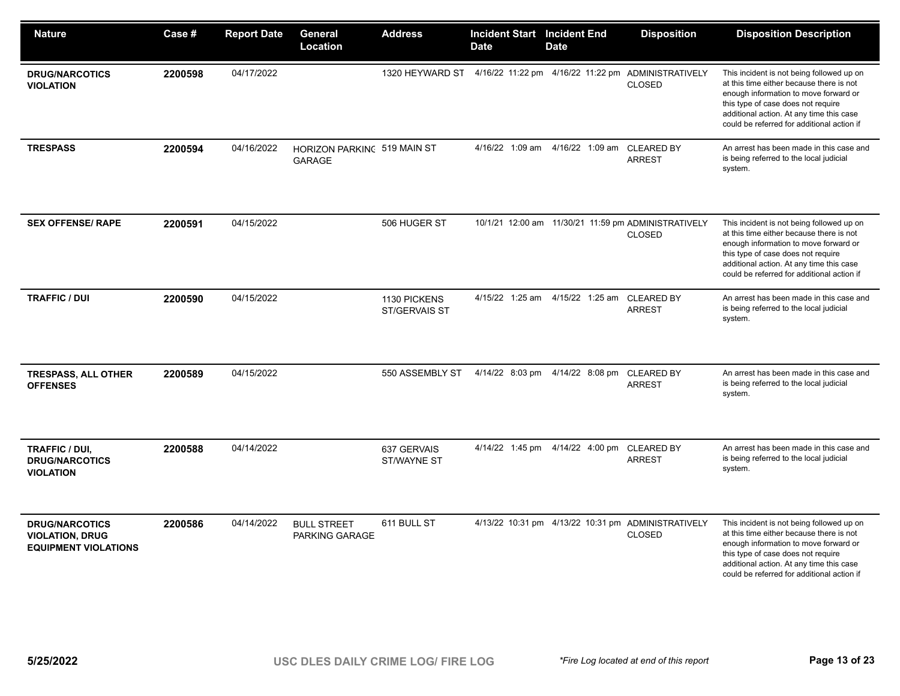| <b>Nature</b>                                                                  | Case #  | <b>Report Date</b> | General<br>Location                          | <b>Address</b>                | <b>Incident Start Incident End</b><br><b>Date</b> | Date                            | <b>Disposition</b>                                                    | <b>Disposition Description</b>                                                                                                                                                                                                                                 |
|--------------------------------------------------------------------------------|---------|--------------------|----------------------------------------------|-------------------------------|---------------------------------------------------|---------------------------------|-----------------------------------------------------------------------|----------------------------------------------------------------------------------------------------------------------------------------------------------------------------------------------------------------------------------------------------------------|
| <b>DRUG/NARCOTICS</b><br><b>VIOLATION</b>                                      | 2200598 | 04/17/2022         |                                              | 1320 HEYWARD ST               |                                                   |                                 | 4/16/22 11:22 pm  4/16/22 11:22 pm  ADMINISTRATIVELY<br><b>CLOSED</b> | This incident is not being followed up on<br>at this time either because there is not<br>enough information to move forward or<br>this type of case does not require<br>additional action. At any time this case<br>could be referred for additional action if |
| <b>TRESPASS</b>                                                                | 2200594 | 04/16/2022         | HORIZON PARKING 519 MAIN ST<br><b>GARAGE</b> |                               | 4/16/22 1:09 am                                   | 4/16/22 1:09 am CLEARED BY      | <b>ARREST</b>                                                         | An arrest has been made in this case and<br>is being referred to the local judicial<br>system.                                                                                                                                                                 |
| <b>SEX OFFENSE/ RAPE</b>                                                       | 2200591 | 04/15/2022         |                                              | 506 HUGER ST                  |                                                   |                                 | 10/1/21 12:00 am 11/30/21 11:59 pm ADMINISTRATIVELY<br><b>CLOSED</b>  | This incident is not being followed up on<br>at this time either because there is not<br>enough information to move forward or<br>this type of case does not require<br>additional action. At any time this case<br>could be referred for additional action if |
| <b>TRAFFIC / DUI</b>                                                           | 2200590 | 04/15/2022         |                                              | 1130 PICKENS<br>ST/GERVAIS ST | 4/15/22 1:25 am                                   | 4/15/22 1:25 am CLEARED BY      | <b>ARREST</b>                                                         | An arrest has been made in this case and<br>is being referred to the local judicial<br>system.                                                                                                                                                                 |
| <b>TRESPASS, ALL OTHER</b><br><b>OFFENSES</b>                                  | 2200589 | 04/15/2022         |                                              | 550 ASSEMBLY ST               |                                                   | 4/14/22 8:03 pm 4/14/22 8:08 pm | <b>CLEARED BY</b><br><b>ARREST</b>                                    | An arrest has been made in this case and<br>is being referred to the local judicial<br>system.                                                                                                                                                                 |
| TRAFFIC / DUI,<br><b>DRUG/NARCOTICS</b><br><b>VIOLATION</b>                    | 2200588 | 04/14/2022         |                                              | 637 GERVAIS<br>ST/WAYNE ST    |                                                   | 4/14/22 1:45 pm 4/14/22 4:00 pm | <b>CLEARED BY</b><br><b>ARREST</b>                                    | An arrest has been made in this case and<br>is being referred to the local judicial<br>system.                                                                                                                                                                 |
| <b>DRUG/NARCOTICS</b><br><b>VIOLATION, DRUG</b><br><b>EQUIPMENT VIOLATIONS</b> | 2200586 | 04/14/2022         | <b>BULL STREET</b><br>PARKING GARAGE         | 611 BULL ST                   |                                                   |                                 | 4/13/22 10:31 pm  4/13/22 10:31 pm  ADMINISTRATIVELY<br><b>CLOSED</b> | This incident is not being followed up on<br>at this time either because there is not<br>enough information to move forward or<br>this type of case does not require<br>additional action. At any time this case<br>could be referred for additional action if |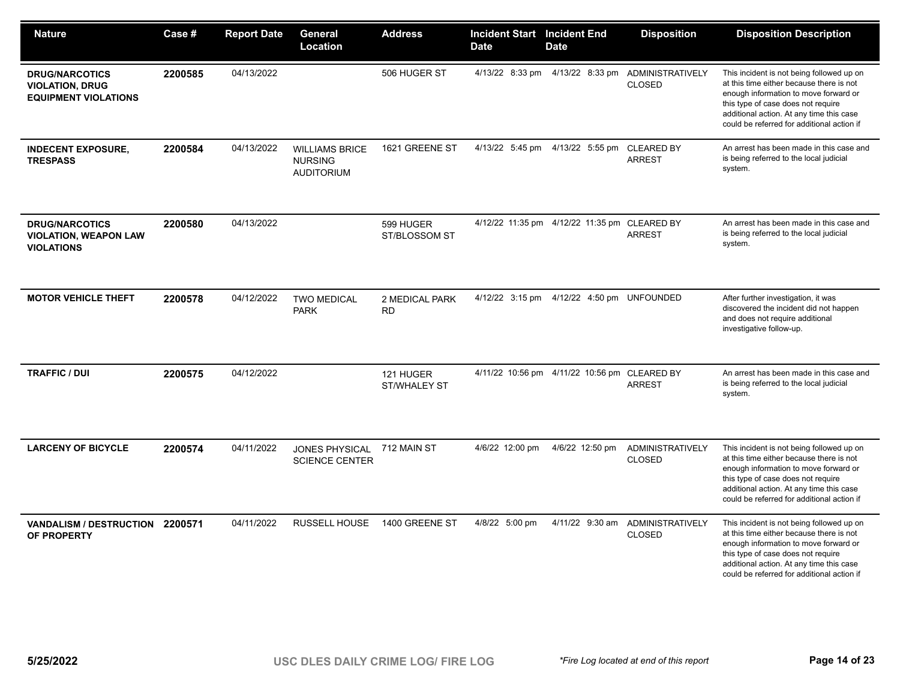| <b>Nature</b>                                                                  | Case #  | <b>Report Date</b> | General<br>Location                                          | <b>Address</b>                   | <b>Incident Start</b><br><b>Date</b> | <b>Incident End</b><br><b>Date</b>             | <b>Disposition</b>                       | <b>Disposition Description</b>                                                                                                                                                                                                                                 |
|--------------------------------------------------------------------------------|---------|--------------------|--------------------------------------------------------------|----------------------------------|--------------------------------------|------------------------------------------------|------------------------------------------|----------------------------------------------------------------------------------------------------------------------------------------------------------------------------------------------------------------------------------------------------------------|
| <b>DRUG/NARCOTICS</b><br><b>VIOLATION, DRUG</b><br><b>EQUIPMENT VIOLATIONS</b> | 2200585 | 04/13/2022         |                                                              | 506 HUGER ST                     | 4/13/22 8:33 pm                      | 4/13/22 8:33 pm                                | <b>ADMINISTRATIVELY</b><br><b>CLOSED</b> | This incident is not being followed up on<br>at this time either because there is not<br>enough information to move forward or<br>this type of case does not require<br>additional action. At any time this case<br>could be referred for additional action if |
| <b>INDECENT EXPOSURE,</b><br><b>TRESPASS</b>                                   | 2200584 | 04/13/2022         | <b>WILLIAMS BRICE</b><br><b>NURSING</b><br><b>AUDITORIUM</b> | 1621 GREENE ST                   | 4/13/22 5:45 pm                      | 4/13/22 5:55 pm                                | <b>CLEARED BY</b><br><b>ARREST</b>       | An arrest has been made in this case and<br>is being referred to the local judicial<br>system.                                                                                                                                                                 |
| <b>DRUG/NARCOTICS</b><br><b>VIOLATION, WEAPON LAW</b><br><b>VIOLATIONS</b>     | 2200580 | 04/13/2022         |                                                              | 599 HUGER<br>ST/BLOSSOM ST       |                                      | 4/12/22 11:35 pm  4/12/22 11:35 pm  CLEARED BY | <b>ARREST</b>                            | An arrest has been made in this case and<br>is being referred to the local judicial<br>system.                                                                                                                                                                 |
| <b>MOTOR VEHICLE THEFT</b>                                                     | 2200578 | 04/12/2022         | <b>TWO MEDICAL</b><br><b>PARK</b>                            | 2 MEDICAL PARK<br><b>RD</b>      |                                      | 4/12/22 3:15 pm  4/12/22 4:50 pm  UNFOUNDED    |                                          | After further investigation, it was<br>discovered the incident did not happen<br>and does not require additional<br>investigative follow-up.                                                                                                                   |
| <b>TRAFFIC / DUI</b>                                                           | 2200575 | 04/12/2022         |                                                              | 121 HUGER<br><b>ST/WHALEY ST</b> |                                      | 4/11/22 10:56 pm  4/11/22 10:56 pm  CLEARED BY | <b>ARREST</b>                            | An arrest has been made in this case and<br>is being referred to the local judicial<br>system.                                                                                                                                                                 |
| <b>LARCENY OF BICYCLE</b>                                                      | 2200574 | 04/11/2022         | JONES PHYSICAL<br><b>SCIENCE CENTER</b>                      | 712 MAIN ST                      | 4/6/22 12:00 pm                      | 4/6/22 12:50 pm                                | <b>ADMINISTRATIVELY</b><br><b>CLOSED</b> | This incident is not being followed up on<br>at this time either because there is not<br>enough information to move forward or<br>this type of case does not require<br>additional action. At any time this case<br>could be referred for additional action if |
| VANDALISM / DESTRUCTION 2200571<br>OF PROPERTY                                 |         | 04/11/2022         | <b>RUSSELL HOUSE</b>                                         | 1400 GREENE ST                   | 4/8/22 5:00 pm                       | 4/11/22 9:30 am                                | ADMINISTRATIVELY<br><b>CLOSED</b>        | This incident is not being followed up on<br>at this time either because there is not<br>enough information to move forward or<br>this type of case does not require<br>additional action. At any time this case<br>could be referred for additional action if |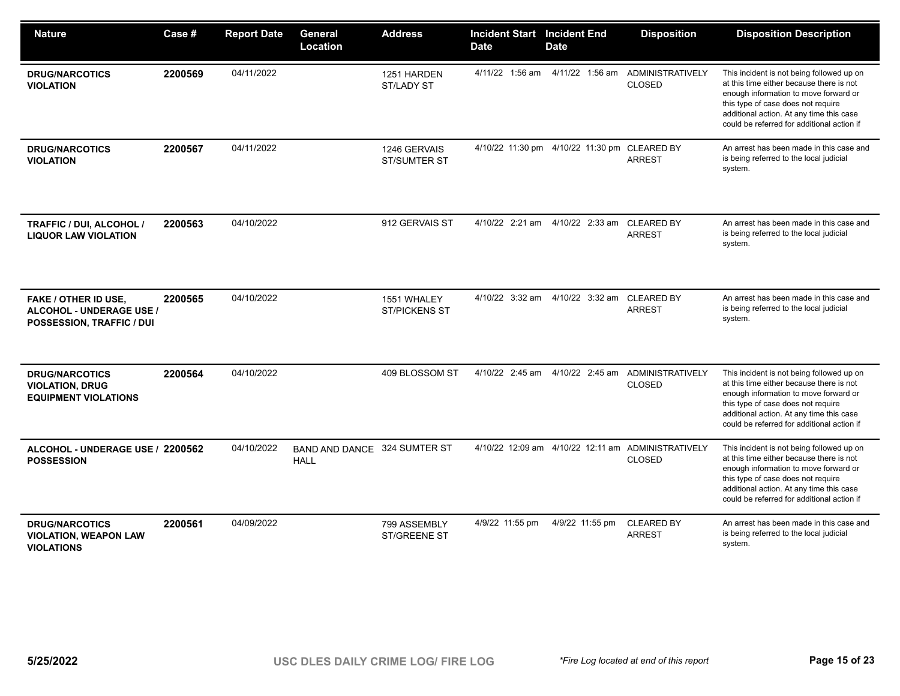| <b>Nature</b>                                                                        | Case #  | <b>Report Date</b> | General<br>Location                         | <b>Address</b>                      | <b>Incident Start Incident End</b><br><b>Date</b> | <b>Date</b>                                    | <b>Disposition</b>                                                  | <b>Disposition Description</b>                                                                                                                                                                                                                                 |
|--------------------------------------------------------------------------------------|---------|--------------------|---------------------------------------------|-------------------------------------|---------------------------------------------------|------------------------------------------------|---------------------------------------------------------------------|----------------------------------------------------------------------------------------------------------------------------------------------------------------------------------------------------------------------------------------------------------------|
| <b>DRUG/NARCOTICS</b><br><b>VIOLATION</b>                                            | 2200569 | 04/11/2022         |                                             | 1251 HARDEN<br>ST/LADY ST           | 4/11/22 1:56 am                                   |                                                | 4/11/22 1:56 am ADMINISTRATIVELY<br><b>CLOSED</b>                   | This incident is not being followed up on<br>at this time either because there is not<br>enough information to move forward or<br>this type of case does not require<br>additional action. At any time this case<br>could be referred for additional action if |
| <b>DRUG/NARCOTICS</b><br><b>VIOLATION</b>                                            | 2200567 | 04/11/2022         |                                             | 1246 GERVAIS<br><b>ST/SUMTER ST</b> |                                                   | 4/10/22 11:30 pm  4/10/22 11:30 pm  CLEARED BY | <b>ARREST</b>                                                       | An arrest has been made in this case and<br>is being referred to the local judicial<br>system.                                                                                                                                                                 |
| <b>TRAFFIC / DUI, ALCOHOL /</b><br><b>LIQUOR LAW VIOLATION</b>                       | 2200563 | 04/10/2022         |                                             | 912 GERVAIS ST                      | 4/10/22 2:21 am                                   | 4/10/22 2:33 am                                | <b>CLEARED BY</b><br><b>ARREST</b>                                  | An arrest has been made in this case and<br>is being referred to the local judicial<br>system.                                                                                                                                                                 |
| <b>FAKE / OTHER ID USE,</b><br>ALCOHOL - UNDERAGE USE /<br>POSSESSION, TRAFFIC / DUI | 2200565 | 04/10/2022         |                                             | 1551 WHALEY<br><b>ST/PICKENS ST</b> |                                                   | 4/10/22 3:32 am 4/10/22 3:32 am CLEARED BY     | <b>ARREST</b>                                                       | An arrest has been made in this case and<br>is being referred to the local judicial<br>system.                                                                                                                                                                 |
| <b>DRUG/NARCOTICS</b><br><b>VIOLATION, DRUG</b><br><b>EQUIPMENT VIOLATIONS</b>       | 2200564 | 04/10/2022         |                                             | 409 BLOSSOM ST                      |                                                   | 4/10/22 2:45 am 4/10/22 2:45 am                | ADMINISTRATIVELY<br><b>CLOSED</b>                                   | This incident is not being followed up on<br>at this time either because there is not<br>enough information to move forward or<br>this type of case does not require<br>additional action. At any time this case<br>could be referred for additional action if |
| ALCOHOL - UNDERAGE USE / 2200562<br><b>POSSESSION</b>                                |         | 04/10/2022         | BAND AND DANCE 324 SUMTER ST<br><b>HALL</b> |                                     |                                                   |                                                | 4/10/22 12:09 am 4/10/22 12:11 am ADMINISTRATIVELY<br><b>CLOSED</b> | This incident is not being followed up on<br>at this time either because there is not<br>enough information to move forward or<br>this type of case does not require<br>additional action. At any time this case<br>could be referred for additional action if |
| <b>DRUG/NARCOTICS</b><br><b>VIOLATION, WEAPON LAW</b><br><b>VIOLATIONS</b>           | 2200561 | 04/09/2022         |                                             | 799 ASSEMBLY<br><b>ST/GREENE ST</b> | 4/9/22 11:55 pm                                   | 4/9/22 11:55 pm                                | <b>CLEARED BY</b><br><b>ARREST</b>                                  | An arrest has been made in this case and<br>is being referred to the local judicial<br>system.                                                                                                                                                                 |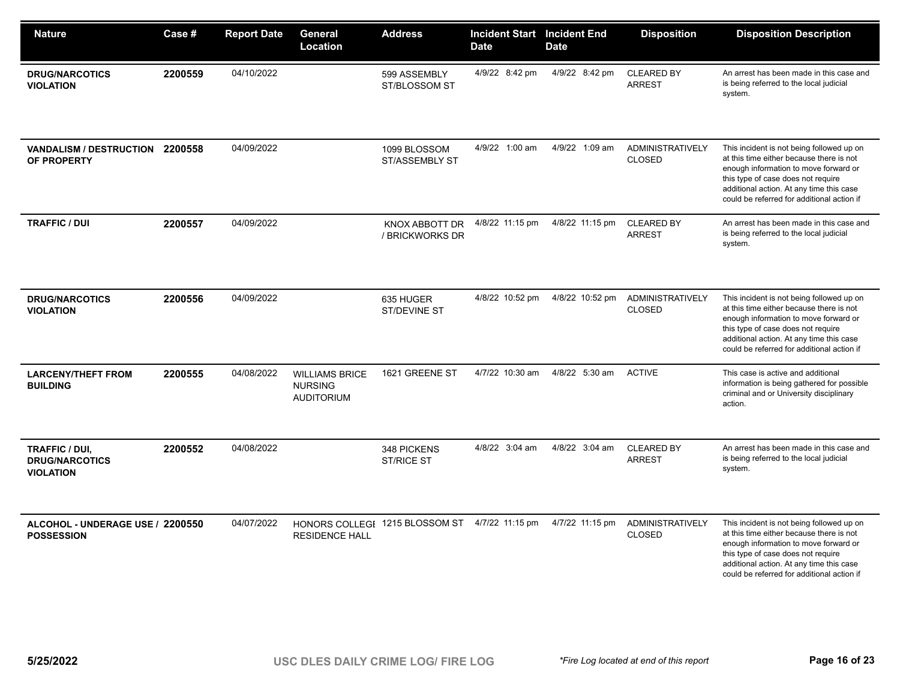| <b>Nature</b>                                               | Case #  | <b>Report Date</b> | General<br><b>Location</b>                                   | <b>Address</b>                        | <b>Incident Start</b> Incident End<br><b>Date</b> | <b>Date</b>     | <b>Disposition</b>                       | <b>Disposition Description</b>                                                                                                                                                                                                                                 |
|-------------------------------------------------------------|---------|--------------------|--------------------------------------------------------------|---------------------------------------|---------------------------------------------------|-----------------|------------------------------------------|----------------------------------------------------------------------------------------------------------------------------------------------------------------------------------------------------------------------------------------------------------------|
| <b>DRUG/NARCOTICS</b><br><b>VIOLATION</b>                   | 2200559 | 04/10/2022         |                                                              | 599 ASSEMBLY<br>ST/BLOSSOM ST         | 4/9/22 8:42 pm                                    | 4/9/22 8:42 pm  | <b>CLEARED BY</b><br><b>ARREST</b>       | An arrest has been made in this case and<br>is being referred to the local judicial<br>system.                                                                                                                                                                 |
| VANDALISM / DESTRUCTION 2200558<br>OF PROPERTY              |         | 04/09/2022         |                                                              | 1099 BLOSSOM<br><b>ST/ASSEMBLY ST</b> | 4/9/22 1:00 am                                    | 4/9/22 1:09 am  | <b>ADMINISTRATIVELY</b><br><b>CLOSED</b> | This incident is not being followed up on<br>at this time either because there is not<br>enough information to move forward or<br>this type of case does not require<br>additional action. At any time this case<br>could be referred for additional action if |
| <b>TRAFFIC / DUI</b>                                        | 2200557 | 04/09/2022         |                                                              | KNOX ABBOTT DR<br>/ BRICKWORKS DR     | 4/8/22 11:15 pm                                   | 4/8/22 11:15 pm | <b>CLEARED BY</b><br><b>ARREST</b>       | An arrest has been made in this case and<br>is being referred to the local judicial<br>system.                                                                                                                                                                 |
| <b>DRUG/NARCOTICS</b><br><b>VIOLATION</b>                   | 2200556 | 04/09/2022         |                                                              | 635 HUGER<br>ST/DEVINE ST             | 4/8/22 10:52 pm                                   | 4/8/22 10:52 pm | <b>ADMINISTRATIVELY</b><br><b>CLOSED</b> | This incident is not being followed up on<br>at this time either because there is not<br>enough information to move forward or<br>this type of case does not require<br>additional action. At any time this case<br>could be referred for additional action if |
| <b>LARCENY/THEFT FROM</b><br><b>BUILDING</b>                | 2200555 | 04/08/2022         | <b>WILLIAMS BRICE</b><br><b>NURSING</b><br><b>AUDITORIUM</b> | 1621 GREENE ST                        | 4/7/22 10:30 am                                   | 4/8/22 5:30 am  | <b>ACTIVE</b>                            | This case is active and additional<br>information is being gathered for possible<br>criminal and or University disciplinary<br>action.                                                                                                                         |
| TRAFFIC / DUI,<br><b>DRUG/NARCOTICS</b><br><b>VIOLATION</b> | 2200552 | 04/08/2022         |                                                              | 348 PICKENS<br><b>ST/RICE ST</b>      | 4/8/22 3:04 am                                    | 4/8/22 3:04 am  | <b>CLEARED BY</b><br><b>ARREST</b>       | An arrest has been made in this case and<br>is being referred to the local judicial<br>system.                                                                                                                                                                 |
| ALCOHOL - UNDERAGE USE / 2200550<br><b>POSSESSION</b>       |         | 04/07/2022         | <b>RESIDENCE HALL</b>                                        | HONORS COLLEGI 1215 BLOSSOM ST        | 4/7/22 11:15 pm                                   | 4/7/22 11:15 pm | <b>ADMINISTRATIVELY</b><br><b>CLOSED</b> | This incident is not being followed up on<br>at this time either because there is not<br>enough information to move forward or<br>this type of case does not require<br>additional action. At any time this case<br>could be referred for additional action if |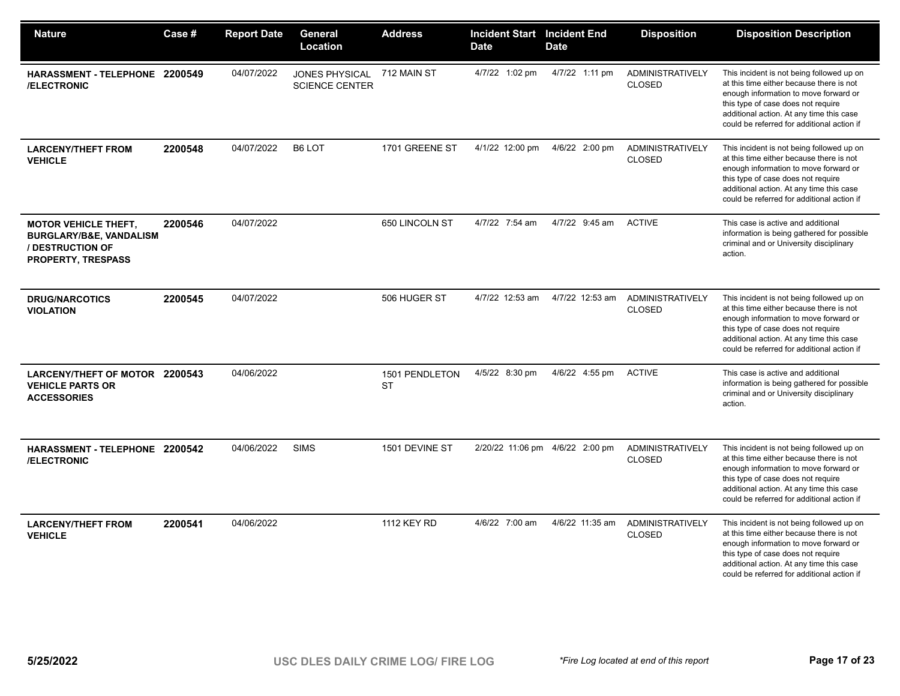| <b>Nature</b>                                                                                                      | Case #  | <b>Report Date</b> | General<br>Location                            | <b>Address</b>              | <b>Incident Start Incident End</b><br><b>Date</b> | <b>Date</b>                     | <b>Disposition</b>                       | <b>Disposition Description</b>                                                                                                                                                                                                                                 |
|--------------------------------------------------------------------------------------------------------------------|---------|--------------------|------------------------------------------------|-----------------------------|---------------------------------------------------|---------------------------------|------------------------------------------|----------------------------------------------------------------------------------------------------------------------------------------------------------------------------------------------------------------------------------------------------------------|
| HARASSMENT-TELEPHONE 2200549<br>/ELECTRONIC                                                                        |         | 04/07/2022         | <b>JONES PHYSICAL</b><br><b>SCIENCE CENTER</b> | 712 MAIN ST                 | 4/7/22 1:02 pm                                    | 4/7/22 1:11 pm                  | <b>ADMINISTRATIVELY</b><br>CLOSED        | This incident is not being followed up on<br>at this time either because there is not<br>enough information to move forward or<br>this type of case does not require<br>additional action. At any time this case<br>could be referred for additional action if |
| <b>LARCENY/THEFT FROM</b><br><b>VEHICLE</b>                                                                        | 2200548 | 04/07/2022         | B6 LOT                                         | 1701 GREENE ST              | 4/1/22 12:00 pm                                   | 4/6/22 2:00 pm                  | <b>ADMINISTRATIVELY</b><br><b>CLOSED</b> | This incident is not being followed up on<br>at this time either because there is not<br>enough information to move forward or<br>this type of case does not require<br>additional action. At any time this case<br>could be referred for additional action if |
| <b>MOTOR VEHICLE THEFT,</b><br><b>BURGLARY/B&amp;E, VANDALISM</b><br>/ DESTRUCTION OF<br><b>PROPERTY, TRESPASS</b> | 2200546 | 04/07/2022         |                                                | 650 LINCOLN ST              | 4/7/22 7:54 am                                    | 4/7/22 9:45 am                  | <b>ACTIVE</b>                            | This case is active and additional<br>information is being gathered for possible<br>criminal and or University disciplinary<br>action.                                                                                                                         |
| <b>DRUG/NARCOTICS</b><br><b>VIOLATION</b>                                                                          | 2200545 | 04/07/2022         |                                                | 506 HUGER ST                | 4/7/22 12:53 am                                   | 4/7/22 12:53 am                 | <b>ADMINISTRATIVELY</b><br>CLOSED        | This incident is not being followed up on<br>at this time either because there is not<br>enough information to move forward or<br>this type of case does not require<br>additional action. At any time this case<br>could be referred for additional action if |
| LARCENY/THEFT OF MOTOR 2200543<br><b>VEHICLE PARTS OR</b><br><b>ACCESSORIES</b>                                    |         | 04/06/2022         |                                                | 1501 PENDLETON<br><b>ST</b> | 4/5/22 8:30 pm                                    | 4/6/22 4:55 pm                  | <b>ACTIVE</b>                            | This case is active and additional<br>information is being gathered for possible<br>criminal and or University disciplinary<br>action.                                                                                                                         |
| HARASSMENT - TELEPHONE 2200542<br><b>/ELECTRONIC</b>                                                               |         | 04/06/2022         | <b>SIMS</b>                                    | 1501 DEVINE ST              |                                                   | 2/20/22 11:06 pm 4/6/22 2:00 pm | <b>ADMINISTRATIVELY</b><br><b>CLOSED</b> | This incident is not being followed up on<br>at this time either because there is not<br>enough information to move forward or<br>this type of case does not require<br>additional action. At any time this case<br>could be referred for additional action if |
| <b>LARCENY/THEFT FROM</b><br><b>VEHICLE</b>                                                                        | 2200541 | 04/06/2022         |                                                | <b>1112 KEY RD</b>          | 4/6/22 7:00 am                                    | 4/6/22 11:35 am                 | <b>ADMINISTRATIVELY</b><br><b>CLOSED</b> | This incident is not being followed up on<br>at this time either because there is not<br>enough information to move forward or<br>this type of case does not require<br>additional action. At any time this case<br>could be referred for additional action if |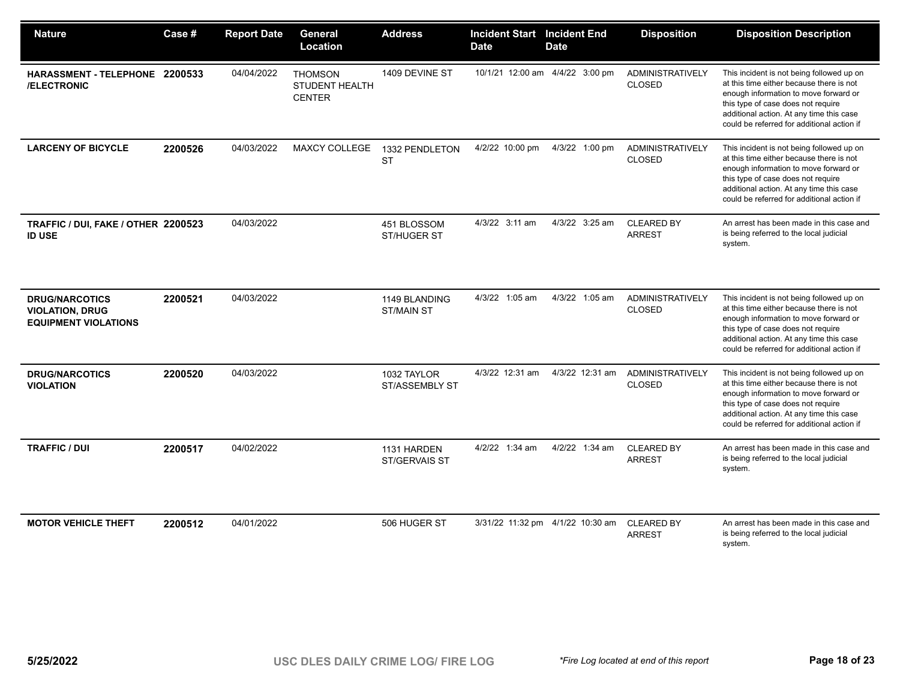| <b>Nature</b>                                                                  | Case #  | <b>Report Date</b> | General<br>Location                               | <b>Address</b>                       | <b>Incident Start Incident End</b><br><b>Date</b> | <b>Date</b>                      | <b>Disposition</b>                       | <b>Disposition Description</b>                                                                                                                                                                                                                                 |
|--------------------------------------------------------------------------------|---------|--------------------|---------------------------------------------------|--------------------------------------|---------------------------------------------------|----------------------------------|------------------------------------------|----------------------------------------------------------------------------------------------------------------------------------------------------------------------------------------------------------------------------------------------------------------|
| HARASSMENT - TELEPHONE 2200533<br>/ELECTRONIC                                  |         | 04/04/2022         | <b>THOMSON</b><br>STUDENT HEALTH<br><b>CENTER</b> | 1409 DEVINE ST                       |                                                   | 10/1/21 12:00 am 4/4/22 3:00 pm  | ADMINISTRATIVELY<br><b>CLOSED</b>        | This incident is not being followed up on<br>at this time either because there is not<br>enough information to move forward or<br>this type of case does not require<br>additional action. At any time this case<br>could be referred for additional action if |
| <b>LARCENY OF BICYCLE</b>                                                      | 2200526 | 04/03/2022         | <b>MAXCY COLLEGE</b>                              | 1332 PENDLETON<br><b>ST</b>          | 4/2/22 10:00 pm                                   | 4/3/22 1:00 pm                   | <b>ADMINISTRATIVELY</b><br><b>CLOSED</b> | This incident is not being followed up on<br>at this time either because there is not<br>enough information to move forward or<br>this type of case does not require<br>additional action. At any time this case<br>could be referred for additional action if |
| TRAFFIC / DUI, FAKE / OTHER 2200523<br><b>ID USE</b>                           |         | 04/03/2022         |                                                   | 451 BLOSSOM<br>ST/HUGER ST           | 4/3/22 3:11 am                                    | 4/3/22 3:25 am                   | <b>CLEARED BY</b><br><b>ARREST</b>       | An arrest has been made in this case and<br>is being referred to the local judicial<br>system.                                                                                                                                                                 |
| <b>DRUG/NARCOTICS</b><br><b>VIOLATION, DRUG</b><br><b>EQUIPMENT VIOLATIONS</b> | 2200521 | 04/03/2022         |                                                   | 1149 BLANDING<br><b>ST/MAIN ST</b>   | 4/3/22 1:05 am                                    | 4/3/22 1:05 am                   | <b>ADMINISTRATIVELY</b><br><b>CLOSED</b> | This incident is not being followed up on<br>at this time either because there is not<br>enough information to move forward or<br>this type of case does not require<br>additional action. At any time this case<br>could be referred for additional action if |
| <b>DRUG/NARCOTICS</b><br><b>VIOLATION</b>                                      | 2200520 | 04/03/2022         |                                                   | 1032 TAYLOR<br><b>ST/ASSEMBLY ST</b> | 4/3/22 12:31 am                                   | 4/3/22 12:31 am                  | <b>ADMINISTRATIVELY</b><br><b>CLOSED</b> | This incident is not being followed up on<br>at this time either because there is not<br>enough information to move forward or<br>this type of case does not require<br>additional action. At any time this case<br>could be referred for additional action if |
| <b>TRAFFIC / DUI</b>                                                           | 2200517 | 04/02/2022         |                                                   | 1131 HARDEN<br>ST/GERVAIS ST         | 4/2/22 1:34 am                                    | 4/2/22 1:34 am                   | <b>CLEARED BY</b><br><b>ARREST</b>       | An arrest has been made in this case and<br>is being referred to the local judicial<br>system.                                                                                                                                                                 |
| <b>MOTOR VEHICLE THEFT</b>                                                     | 2200512 | 04/01/2022         |                                                   | 506 HUGER ST                         |                                                   | 3/31/22 11:32 pm 4/1/22 10:30 am | <b>CLEARED BY</b><br><b>ARREST</b>       | An arrest has been made in this case and<br>is being referred to the local judicial<br>system.                                                                                                                                                                 |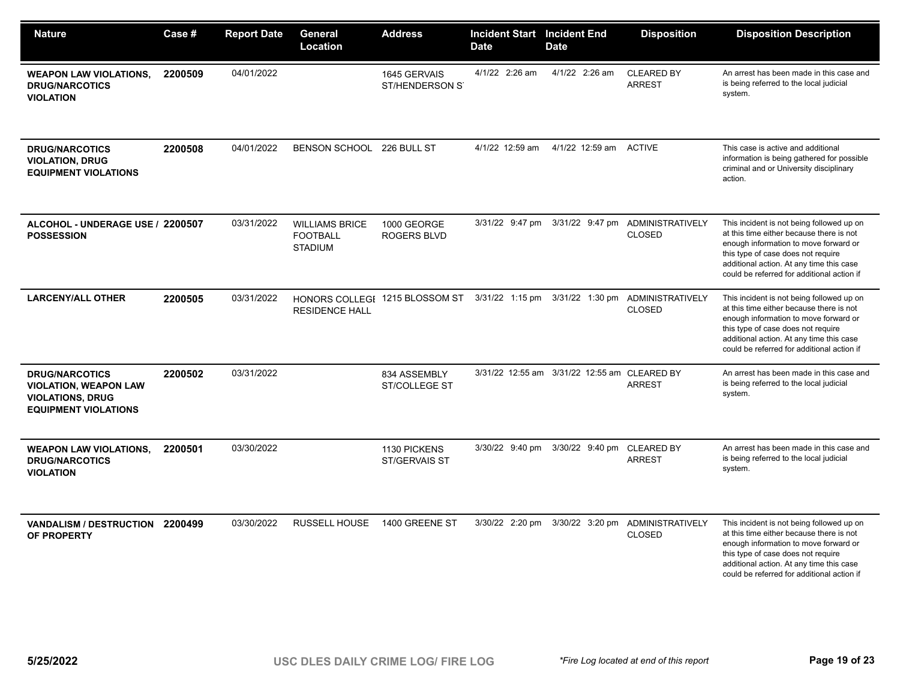| <b>Nature</b>                                                                                                   | <b>Case</b> # | <b>Report Date</b> | General<br>Location                                        | <b>Address</b>                                 | <b>Incident Start Incident End</b><br><b>Date</b> | <b>Date</b>                                  | <b>Disposition</b>                                | <b>Disposition Description</b>                                                                                                                                                                                                                                 |
|-----------------------------------------------------------------------------------------------------------------|---------------|--------------------|------------------------------------------------------------|------------------------------------------------|---------------------------------------------------|----------------------------------------------|---------------------------------------------------|----------------------------------------------------------------------------------------------------------------------------------------------------------------------------------------------------------------------------------------------------------------|
| <b>WEAPON LAW VIOLATIONS,</b><br><b>DRUG/NARCOTICS</b><br><b>VIOLATION</b>                                      | 2200509       | 04/01/2022         |                                                            | 1645 GERVAIS<br>ST/HENDERSON ST                | 4/1/22 2:26 am                                    | 4/1/22 2:26 am                               | <b>CLEARED BY</b><br><b>ARREST</b>                | An arrest has been made in this case and<br>is being referred to the local judicial<br>system.                                                                                                                                                                 |
| <b>DRUG/NARCOTICS</b><br><b>VIOLATION, DRUG</b><br><b>EQUIPMENT VIOLATIONS</b>                                  | 2200508       | 04/01/2022         | BENSON SCHOOL 226 BULL ST                                  |                                                | 4/1/22 12:59 am                                   | 4/1/22 12:59 am                              | <b>ACTIVE</b>                                     | This case is active and additional<br>information is being gathered for possible<br>criminal and or University disciplinary<br>action.                                                                                                                         |
| ALCOHOL - UNDERAGE USE / 2200507<br><b>POSSESSION</b>                                                           |               | 03/31/2022         | <b>WILLIAMS BRICE</b><br><b>FOOTBALL</b><br><b>STADIUM</b> | 1000 GEORGE<br><b>ROGERS BLVD</b>              | 3/31/22 9:47 pm                                   |                                              | 3/31/22 9:47 pm ADMINISTRATIVELY<br>CLOSED        | This incident is not being followed up on<br>at this time either because there is not<br>enough information to move forward or<br>this type of case does not require<br>additional action. At any time this case<br>could be referred for additional action if |
| <b>LARCENY/ALL OTHER</b>                                                                                        | 2200505       | 03/31/2022         | <b>RESIDENCE HALL</b>                                      | HONORS COLLEGE 1215 BLOSSOM ST 3/31/22 1:15 pm |                                                   |                                              | 3/31/22 1:30 pm ADMINISTRATIVELY<br><b>CLOSED</b> | This incident is not being followed up on<br>at this time either because there is not<br>enough information to move forward or<br>this type of case does not require<br>additional action. At any time this case<br>could be referred for additional action if |
| <b>DRUG/NARCOTICS</b><br><b>VIOLATION, WEAPON LAW</b><br><b>VIOLATIONS, DRUG</b><br><b>EQUIPMENT VIOLATIONS</b> | 2200502       | 03/31/2022         |                                                            | 834 ASSEMBLY<br>ST/COLLEGE ST                  |                                                   | 3/31/22 12:55 am 3/31/22 12:55 am CLEARED BY | <b>ARREST</b>                                     | An arrest has been made in this case and<br>is being referred to the local judicial<br>system.                                                                                                                                                                 |
| <b>WEAPON LAW VIOLATIONS,</b><br><b>DRUG/NARCOTICS</b><br><b>VIOLATION</b>                                      | 2200501       | 03/30/2022         |                                                            | 1130 PICKENS<br>ST/GERVAIS ST                  | 3/30/22 9:40 pm                                   | 3/30/22 9:40 pm                              | <b>CLEARED BY</b><br><b>ARREST</b>                | An arrest has been made in this case and<br>is being referred to the local judicial<br>system.                                                                                                                                                                 |
| VANDALISM / DESTRUCTION 2200499<br>OF PROPERTY                                                                  |               | 03/30/2022         | <b>RUSSELL HOUSE</b>                                       | 1400 GREENE ST                                 | 3/30/22 2:20 pm                                   | 3/30/22 3:20 pm                              | <b>ADMINISTRATIVELY</b><br><b>CLOSED</b>          | This incident is not being followed up on<br>at this time either because there is not<br>enough information to move forward or<br>this type of case does not require<br>additional action. At any time this case<br>could be referred for additional action if |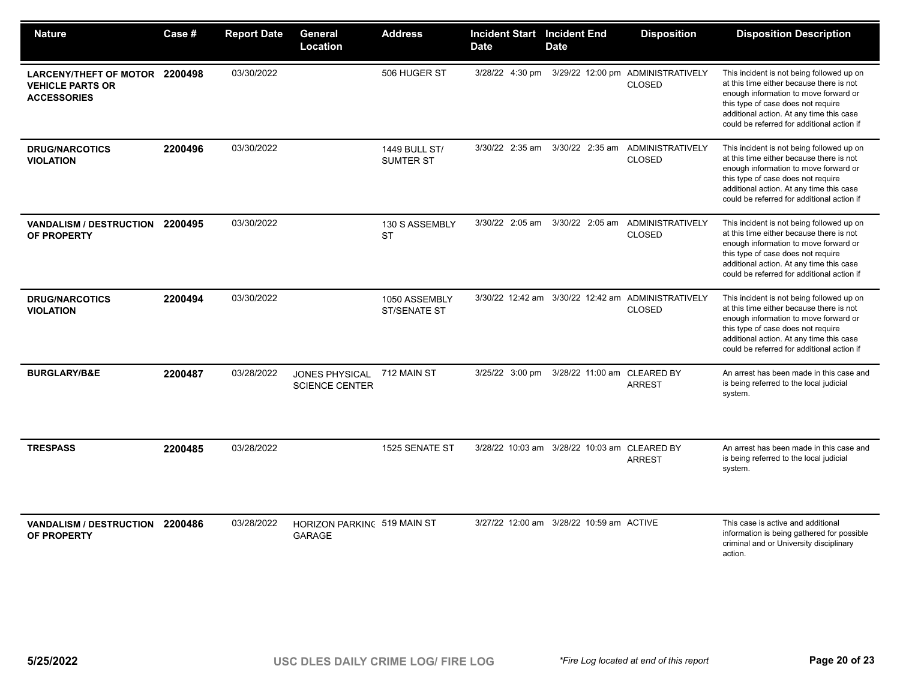| <b>Nature</b>                                                                   | Case #  | <b>Report Date</b> | General<br>Location                            | <b>Address</b>                | <b>Incident Start Incident End</b><br><b>Date</b> | <b>Date</b>                                  | <b>Disposition</b>                                                  | <b>Disposition Description</b>                                                                                                                                                                                                                                 |
|---------------------------------------------------------------------------------|---------|--------------------|------------------------------------------------|-------------------------------|---------------------------------------------------|----------------------------------------------|---------------------------------------------------------------------|----------------------------------------------------------------------------------------------------------------------------------------------------------------------------------------------------------------------------------------------------------------|
| LARCENY/THEFT OF MOTOR 2200498<br><b>VEHICLE PARTS OR</b><br><b>ACCESSORIES</b> |         | 03/30/2022         |                                                | 506 HUGER ST                  | 3/28/22 4:30 pm                                   |                                              | 3/29/22 12:00 pm ADMINISTRATIVELY<br><b>CLOSED</b>                  | This incident is not being followed up on<br>at this time either because there is not<br>enough information to move forward or<br>this type of case does not require<br>additional action. At any time this case<br>could be referred for additional action if |
| <b>DRUG/NARCOTICS</b><br><b>VIOLATION</b>                                       | 2200496 | 03/30/2022         |                                                | 1449 BULL ST/<br>SUMTER ST    |                                                   |                                              | 3/30/22 2:35 am 3/30/22 2:35 am ADMINISTRATIVELY<br><b>CLOSED</b>   | This incident is not being followed up on<br>at this time either because there is not<br>enough information to move forward or<br>this type of case does not require<br>additional action. At any time this case<br>could be referred for additional action if |
| VANDALISM / DESTRUCTION 2200495<br>OF PROPERTY                                  |         | 03/30/2022         |                                                | 130 S ASSEMBLY<br><b>ST</b>   | 3/30/22 2:05 am                                   |                                              | 3/30/22 2:05 am ADMINISTRATIVELY<br><b>CLOSED</b>                   | This incident is not being followed up on<br>at this time either because there is not<br>enough information to move forward or<br>this type of case does not require<br>additional action. At any time this case<br>could be referred for additional action if |
| <b>DRUG/NARCOTICS</b><br><b>VIOLATION</b>                                       | 2200494 | 03/30/2022         |                                                | 1050 ASSEMBLY<br>ST/SENATE ST |                                                   |                                              | 3/30/22 12:42 am 3/30/22 12:42 am ADMINISTRATIVELY<br><b>CLOSED</b> | This incident is not being followed up on<br>at this time either because there is not<br>enough information to move forward or<br>this type of case does not require<br>additional action. At any time this case<br>could be referred for additional action if |
| <b>BURGLARY/B&amp;E</b>                                                         | 2200487 | 03/28/2022         | <b>JONES PHYSICAL</b><br><b>SCIENCE CENTER</b> | 712 MAIN ST                   |                                                   | 3/25/22 3:00 pm 3/28/22 11:00 am CLEARED BY  | <b>ARREST</b>                                                       | An arrest has been made in this case and<br>is being referred to the local judicial<br>system.                                                                                                                                                                 |
| <b>TRESPASS</b>                                                                 | 2200485 | 03/28/2022         |                                                | 1525 SENATE ST                |                                                   | 3/28/22 10:03 am 3/28/22 10:03 am CLEARED BY | <b>ARREST</b>                                                       | An arrest has been made in this case and<br>is being referred to the local judicial<br>system.                                                                                                                                                                 |
| VANDALISM / DESTRUCTION 2200486<br>OF PROPERTY                                  |         | 03/28/2022         | HORIZON PARKING 519 MAIN ST<br><b>GARAGE</b>   |                               |                                                   | 3/27/22 12:00 am 3/28/22 10:59 am ACTIVE     |                                                                     | This case is active and additional<br>information is being gathered for possible<br>criminal and or University disciplinary<br>action.                                                                                                                         |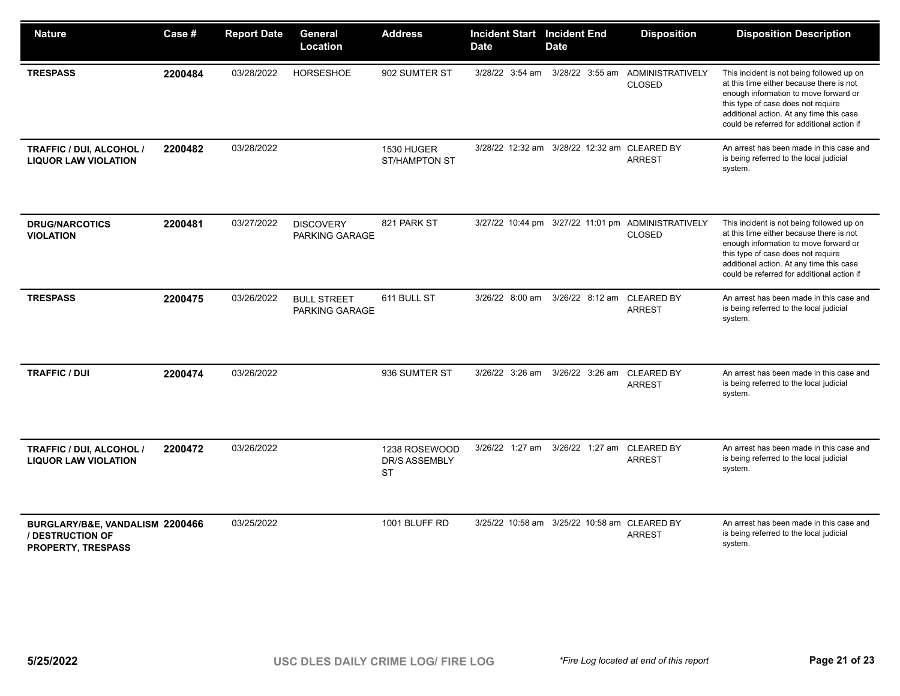| <b>Nature</b>                                                                    | Case #  | <b>Report Date</b> | General<br>Location                  | <b>Address</b>                              | <b>Incident Start</b> Incident End<br><b>Date</b> | <b>Date</b>                                  | <b>Disposition</b>                                                  | <b>Disposition Description</b>                                                                                                                                                                                                                                 |
|----------------------------------------------------------------------------------|---------|--------------------|--------------------------------------|---------------------------------------------|---------------------------------------------------|----------------------------------------------|---------------------------------------------------------------------|----------------------------------------------------------------------------------------------------------------------------------------------------------------------------------------------------------------------------------------------------------------|
| <b>TRESPASS</b>                                                                  | 2200484 | 03/28/2022         | HORSESHOE                            | 902 SUMTER ST                               | 3/28/22 3:54 am                                   |                                              | 3/28/22 3:55 am ADMINISTRATIVELY<br><b>CLOSED</b>                   | This incident is not being followed up on<br>at this time either because there is not<br>enough information to move forward or<br>this type of case does not require<br>additional action. At any time this case<br>could be referred for additional action if |
| TRAFFIC / DUI, ALCOHOL /<br><b>LIQUOR LAW VIOLATION</b>                          | 2200482 | 03/28/2022         |                                      | 1530 HUGER<br><b>ST/HAMPTON ST</b>          |                                                   | 3/28/22 12:32 am 3/28/22 12:32 am CLEARED BY | <b>ARREST</b>                                                       | An arrest has been made in this case and<br>is being referred to the local judicial<br>system.                                                                                                                                                                 |
| <b>DRUG/NARCOTICS</b><br><b>VIOLATION</b>                                        | 2200481 | 03/27/2022         | <b>DISCOVERY</b><br>PARKING GARAGE   | 821 PARK ST                                 |                                                   |                                              | 3/27/22 10:44 pm 3/27/22 11:01 pm ADMINISTRATIVELY<br><b>CLOSED</b> | This incident is not being followed up on<br>at this time either because there is not<br>enough information to move forward or<br>this type of case does not require<br>additional action. At any time this case<br>could be referred for additional action if |
| <b>TRESPASS</b>                                                                  | 2200475 | 03/26/2022         | <b>BULL STREET</b><br>PARKING GARAGE | 611 BULL ST                                 | 3/26/22 8:00 am                                   | 3/26/22 8:12 am                              | <b>CLEARED BY</b><br><b>ARREST</b>                                  | An arrest has been made in this case and<br>is being referred to the local judicial<br>system.                                                                                                                                                                 |
| <b>TRAFFIC / DUI</b>                                                             | 2200474 | 03/26/2022         |                                      | 936 SUMTER ST                               | 3/26/22 3:26 am                                   | 3/26/22 3:26 am                              | <b>CLEARED BY</b><br><b>ARREST</b>                                  | An arrest has been made in this case and<br>is being referred to the local judicial<br>system.                                                                                                                                                                 |
| <b>TRAFFIC / DUI, ALCOHOL /</b><br><b>LIQUOR LAW VIOLATION</b>                   | 2200472 | 03/26/2022         |                                      | 1238 ROSEWOOD<br>DR/S ASSEMBLY<br><b>ST</b> | 3/26/22 1:27 am                                   | 3/26/22 1:27 am CLEARED BY                   | <b>ARREST</b>                                                       | An arrest has been made in this case and<br>is being referred to the local judicial<br>system.                                                                                                                                                                 |
| BURGLARY/B&E, VANDALISM 2200466<br>/ DESTRUCTION OF<br><b>PROPERTY, TRESPASS</b> |         | 03/25/2022         |                                      | 1001 BLUFF RD                               |                                                   | 3/25/22 10:58 am 3/25/22 10:58 am            | <b>CLEARED BY</b><br><b>ARREST</b>                                  | An arrest has been made in this case and<br>is being referred to the local judicial<br>system.                                                                                                                                                                 |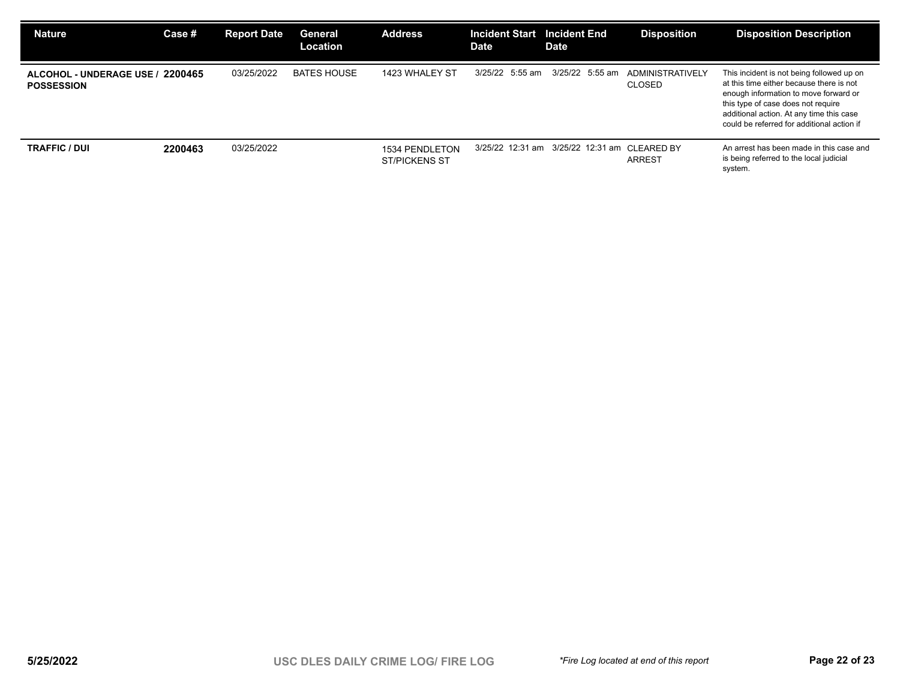| <b>Nature</b>                                         | Case #  | <b>Report Date</b> | General<br><b>Location</b> | <b>Address</b>                         | <b>Incident Start</b><br><b>Date</b> | <b>Incident End</b><br>Date                  | <b>Disposition</b>                | <b>Disposition Description</b>                                                                                                                                                                                                                                 |
|-------------------------------------------------------|---------|--------------------|----------------------------|----------------------------------------|--------------------------------------|----------------------------------------------|-----------------------------------|----------------------------------------------------------------------------------------------------------------------------------------------------------------------------------------------------------------------------------------------------------------|
| ALCOHOL - UNDERAGE USE / 2200465<br><b>POSSESSION</b> |         | 03/25/2022         | <b>BATES HOUSE</b>         | 1423 WHALEY ST                         | 3/25/22 5:55 am                      | 3/25/22 5:55 am                              | ADMINISTRATIVELY<br><b>CLOSED</b> | This incident is not being followed up on<br>at this time either because there is not<br>enough information to move forward or<br>this type of case does not require<br>additional action. At any time this case<br>could be referred for additional action if |
| <b>TRAFFIC / DUI</b>                                  | 2200463 | 03/25/2022         |                            | 1534 PENDLETON<br><b>ST/PICKENS ST</b> |                                      | 3/25/22 12:31 am 3/25/22 12:31 am CLEARED BY | <b>ARREST</b>                     | An arrest has been made in this case and<br>is being referred to the local judicial<br>system.                                                                                                                                                                 |